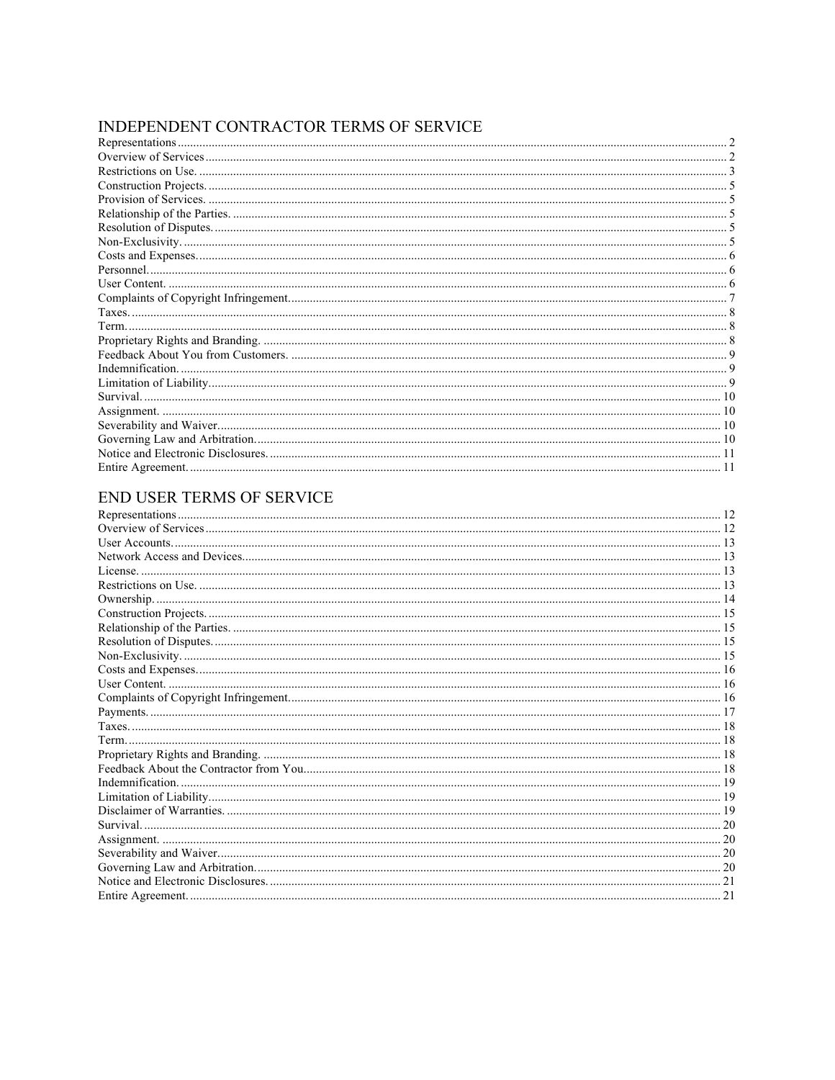# INDEPENDENT CONTRACTOR TERMS OF SERVICE

# END USER TERMS OF SERVICE

| Restrictions on Use <i>material communications</i> and the set of the set of the set of the set of the set of the set of the set of the set of the set of the set of the set of the set of the set of the set of the set of the set |  |
|-------------------------------------------------------------------------------------------------------------------------------------------------------------------------------------------------------------------------------------|--|
|                                                                                                                                                                                                                                     |  |
|                                                                                                                                                                                                                                     |  |
|                                                                                                                                                                                                                                     |  |
|                                                                                                                                                                                                                                     |  |
|                                                                                                                                                                                                                                     |  |
|                                                                                                                                                                                                                                     |  |
|                                                                                                                                                                                                                                     |  |
|                                                                                                                                                                                                                                     |  |
|                                                                                                                                                                                                                                     |  |
|                                                                                                                                                                                                                                     |  |
|                                                                                                                                                                                                                                     |  |
|                                                                                                                                                                                                                                     |  |
|                                                                                                                                                                                                                                     |  |
|                                                                                                                                                                                                                                     |  |
|                                                                                                                                                                                                                                     |  |
|                                                                                                                                                                                                                                     |  |
|                                                                                                                                                                                                                                     |  |
|                                                                                                                                                                                                                                     |  |
|                                                                                                                                                                                                                                     |  |
|                                                                                                                                                                                                                                     |  |
|                                                                                                                                                                                                                                     |  |
|                                                                                                                                                                                                                                     |  |
|                                                                                                                                                                                                                                     |  |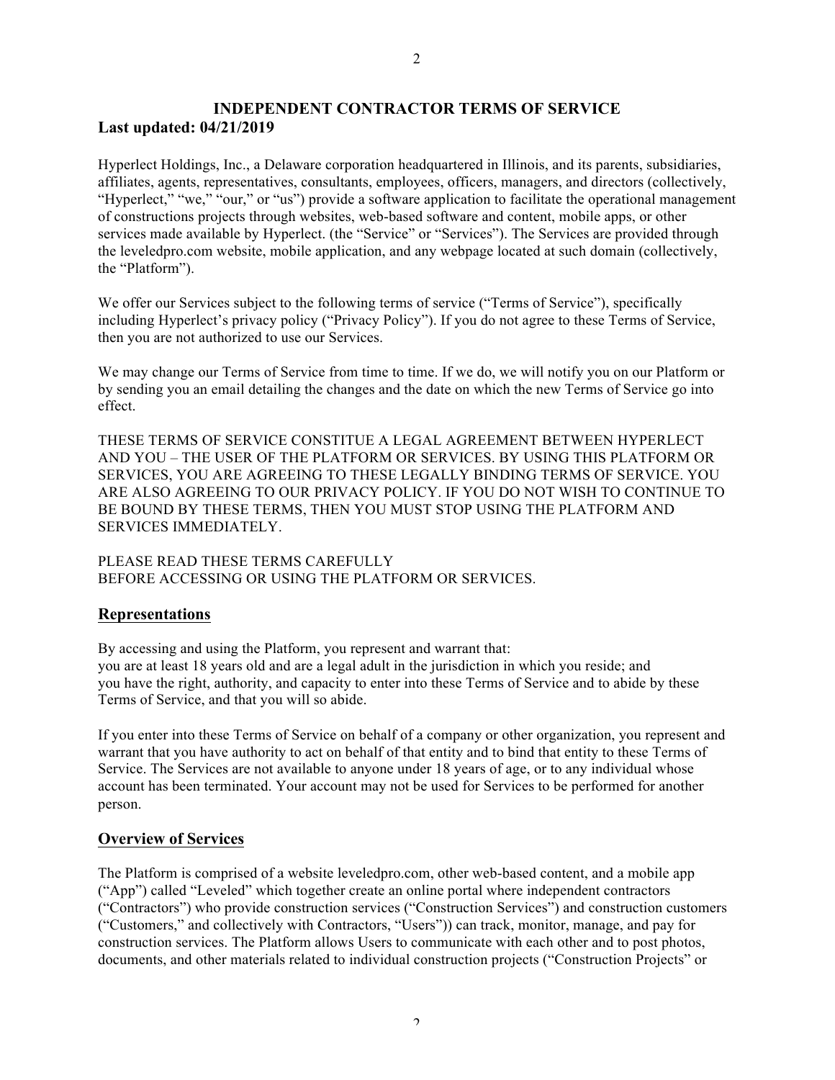# **INDEPENDENT CONTRACTOR TERMS OF SERVICE Last updated: 04/21/2019**

Hyperlect Holdings, Inc., a Delaware corporation headquartered in Illinois, and its parents, subsidiaries, affiliates, agents, representatives, consultants, employees, officers, managers, and directors (collectively, "Hyperlect," "we," "our," or "us") provide a software application to facilitate the operational management of constructions projects through websites, web-based software and content, mobile apps, or other services made available by Hyperlect. (the "Service" or "Services"). The Services are provided through the leveledpro.com website, mobile application, and any webpage located at such domain (collectively, the "Platform").

We offer our Services subject to the following terms of service ("Terms of Service"), specifically including Hyperlect's privacy policy ("Privacy Policy"). If you do not agree to these Terms of Service, then you are not authorized to use our Services.

We may change our Terms of Service from time to time. If we do, we will notify you on our Platform or by sending you an email detailing the changes and the date on which the new Terms of Service go into effect.

THESE TERMS OF SERVICE CONSTITUE A LEGAL AGREEMENT BETWEEN HYPERLECT AND YOU – THE USER OF THE PLATFORM OR SERVICES. BY USING THIS PLATFORM OR SERVICES, YOU ARE AGREEING TO THESE LEGALLY BINDING TERMS OF SERVICE. YOU ARE ALSO AGREEING TO OUR PRIVACY POLICY. IF YOU DO NOT WISH TO CONTINUE TO BE BOUND BY THESE TERMS, THEN YOU MUST STOP USING THE PLATFORM AND SERVICES IMMEDIATELY.

PLEASE READ THESE TERMS CAREFULLY BEFORE ACCESSING OR USING THE PLATFORM OR SERVICES.

# **Representations**

By accessing and using the Platform, you represent and warrant that: you are at least 18 years old and are a legal adult in the jurisdiction in which you reside; and you have the right, authority, and capacity to enter into these Terms of Service and to abide by these Terms of Service, and that you will so abide.

If you enter into these Terms of Service on behalf of a company or other organization, you represent and warrant that you have authority to act on behalf of that entity and to bind that entity to these Terms of Service. The Services are not available to anyone under 18 years of age, or to any individual whose account has been terminated. Your account may not be used for Services to be performed for another person.

# **Overview of Services**

The Platform is comprised of a website leveledpro.com, other web-based content, and a mobile app ("App") called "Leveled" which together create an online portal where independent contractors ("Contractors") who provide construction services ("Construction Services") and construction customers ("Customers," and collectively with Contractors, "Users")) can track, monitor, manage, and pay for construction services. The Platform allows Users to communicate with each other and to post photos, documents, and other materials related to individual construction projects ("Construction Projects" or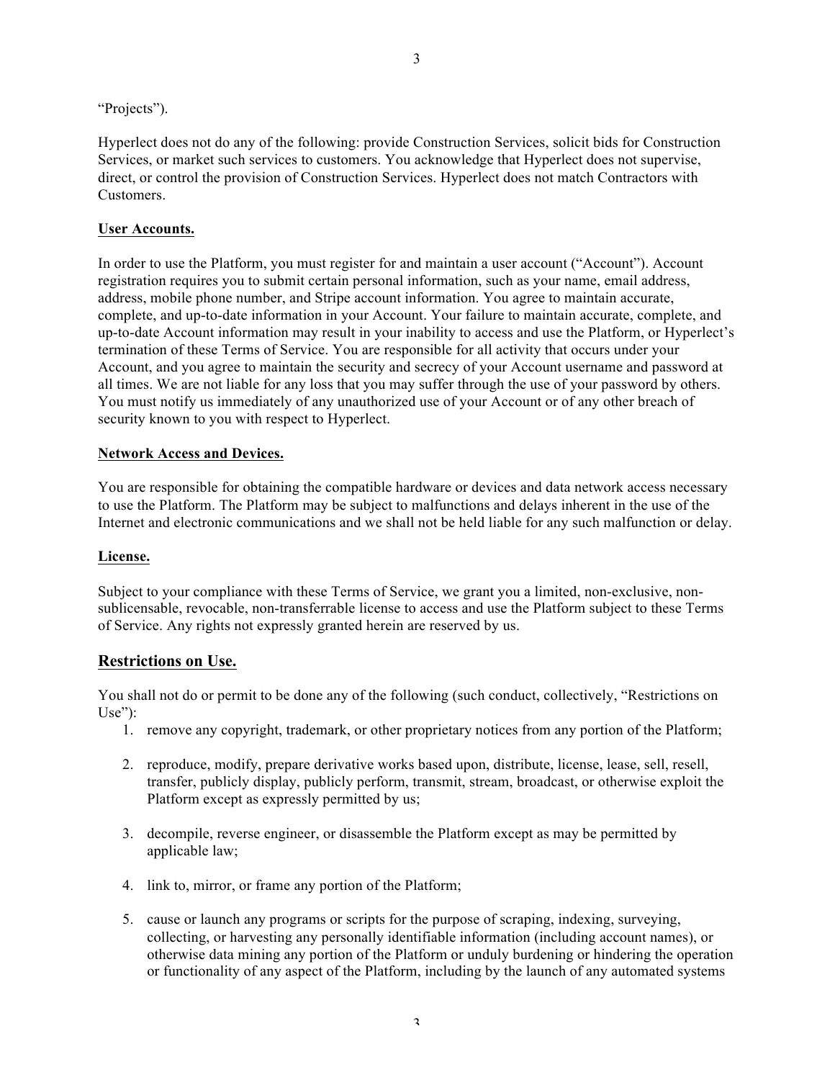"Projects").

Hyperlect does not do any of the following: provide Construction Services, solicit bids for Construction Services, or market such services to customers. You acknowledge that Hyperlect does not supervise, direct, or control the provision of Construction Services. Hyperlect does not match Contractors with Customers.

### **User Accounts.**

In order to use the Platform, you must register for and maintain a user account ("Account"). Account registration requires you to submit certain personal information, such as your name, email address, address, mobile phone number, and Stripe account information. You agree to maintain accurate, complete, and up-to-date information in your Account. Your failure to maintain accurate, complete, and up-to-date Account information may result in your inability to access and use the Platform, or Hyperlect's termination of these Terms of Service. You are responsible for all activity that occurs under your Account, and you agree to maintain the security and secrecy of your Account username and password at all times. We are not liable for any loss that you may suffer through the use of your password by others. You must notify us immediately of any unauthorized use of your Account or of any other breach of security known to you with respect to Hyperlect.

#### **Network Access and Devices.**

You are responsible for obtaining the compatible hardware or devices and data network access necessary to use the Platform. The Platform may be subject to malfunctions and delays inherent in the use of the Internet and electronic communications and we shall not be held liable for any such malfunction or delay.

#### **License.**

Subject to your compliance with these Terms of Service, we grant you a limited, non-exclusive, nonsublicensable, revocable, non-transferrable license to access and use the Platform subject to these Terms of Service. Any rights not expressly granted herein are reserved by us.

### **Restrictions on Use.**

You shall not do or permit to be done any of the following (such conduct, collectively, "Restrictions on Use"):

- 1. remove any copyright, trademark, or other proprietary notices from any portion of the Platform;
- 2. reproduce, modify, prepare derivative works based upon, distribute, license, lease, sell, resell, transfer, publicly display, publicly perform, transmit, stream, broadcast, or otherwise exploit the Platform except as expressly permitted by us;
- 3. decompile, reverse engineer, or disassemble the Platform except as may be permitted by applicable law;
- 4. link to, mirror, or frame any portion of the Platform;
- 5. cause or launch any programs or scripts for the purpose of scraping, indexing, surveying, collecting, or harvesting any personally identifiable information (including account names), or otherwise data mining any portion of the Platform or unduly burdening or hindering the operation or functionality of any aspect of the Platform, including by the launch of any automated systems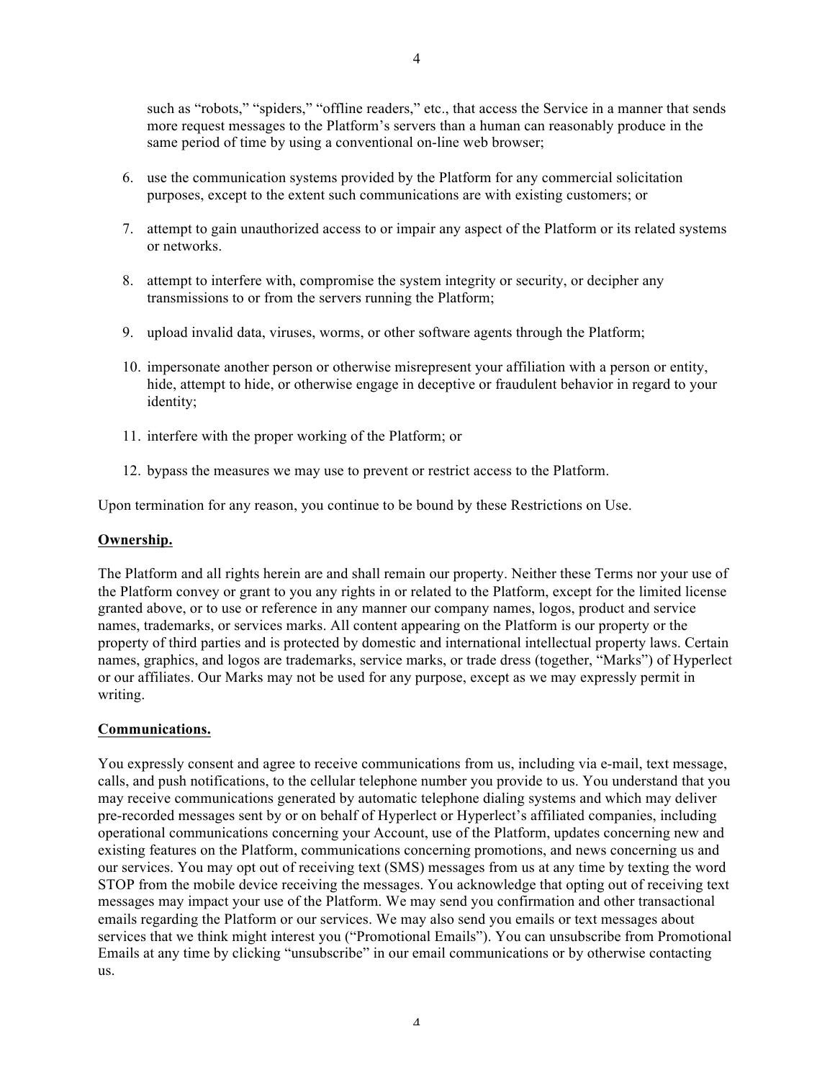such as "robots," "spiders," "offline readers," etc., that access the Service in a manner that sends more request messages to the Platform's servers than a human can reasonably produce in the same period of time by using a conventional on-line web browser;

- 6. use the communication systems provided by the Platform for any commercial solicitation purposes, except to the extent such communications are with existing customers; or
- 7. attempt to gain unauthorized access to or impair any aspect of the Platform or its related systems or networks.
- 8. attempt to interfere with, compromise the system integrity or security, or decipher any transmissions to or from the servers running the Platform;
- 9. upload invalid data, viruses, worms, or other software agents through the Platform;
- 10. impersonate another person or otherwise misrepresent your affiliation with a person or entity, hide, attempt to hide, or otherwise engage in deceptive or fraudulent behavior in regard to your identity;
- 11. interfere with the proper working of the Platform; or
- 12. bypass the measures we may use to prevent or restrict access to the Platform.

Upon termination for any reason, you continue to be bound by these Restrictions on Use.

#### **Ownership.**

The Platform and all rights herein are and shall remain our property. Neither these Terms nor your use of the Platform convey or grant to you any rights in or related to the Platform, except for the limited license granted above, or to use or reference in any manner our company names, logos, product and service names, trademarks, or services marks. All content appearing on the Platform is our property or the property of third parties and is protected by domestic and international intellectual property laws. Certain names, graphics, and logos are trademarks, service marks, or trade dress (together, "Marks") of Hyperlect or our affiliates. Our Marks may not be used for any purpose, except as we may expressly permit in writing.

#### **Communications.**

You expressly consent and agree to receive communications from us, including via e-mail, text message, calls, and push notifications, to the cellular telephone number you provide to us. You understand that you may receive communications generated by automatic telephone dialing systems and which may deliver pre-recorded messages sent by or on behalf of Hyperlect or Hyperlect's affiliated companies, including operational communications concerning your Account, use of the Platform, updates concerning new and existing features on the Platform, communications concerning promotions, and news concerning us and our services. You may opt out of receiving text (SMS) messages from us at any time by texting the word STOP from the mobile device receiving the messages. You acknowledge that opting out of receiving text messages may impact your use of the Platform. We may send you confirmation and other transactional emails regarding the Platform or our services. We may also send you emails or text messages about services that we think might interest you ("Promotional Emails"). You can unsubscribe from Promotional Emails at any time by clicking "unsubscribe" in our email communications or by otherwise contacting us.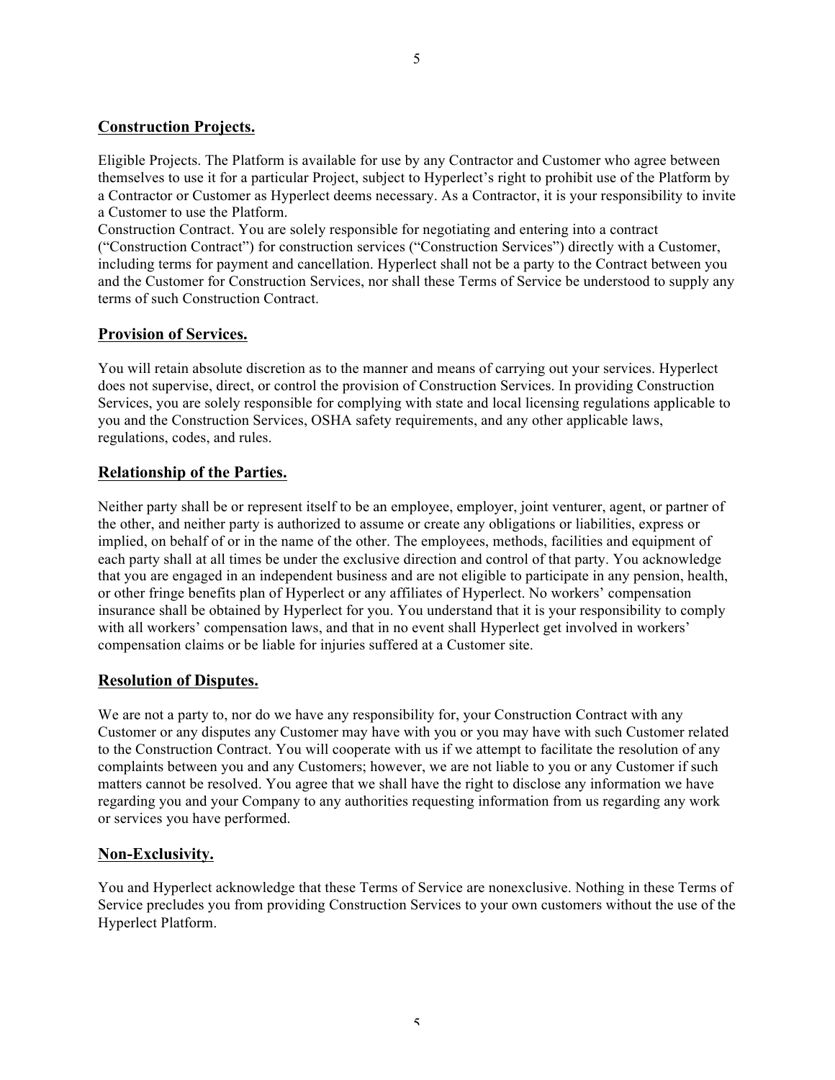# **Construction Projects.**

Eligible Projects. The Platform is available for use by any Contractor and Customer who agree between themselves to use it for a particular Project, subject to Hyperlect's right to prohibit use of the Platform by a Contractor or Customer as Hyperlect deems necessary. As a Contractor, it is your responsibility to invite a Customer to use the Platform.

Construction Contract. You are solely responsible for negotiating and entering into a contract ("Construction Contract") for construction services ("Construction Services") directly with a Customer, including terms for payment and cancellation. Hyperlect shall not be a party to the Contract between you and the Customer for Construction Services, nor shall these Terms of Service be understood to supply any terms of such Construction Contract.

# **Provision of Services.**

You will retain absolute discretion as to the manner and means of carrying out your services. Hyperlect does not supervise, direct, or control the provision of Construction Services. In providing Construction Services, you are solely responsible for complying with state and local licensing regulations applicable to you and the Construction Services, OSHA safety requirements, and any other applicable laws, regulations, codes, and rules.

# **Relationship of the Parties.**

Neither party shall be or represent itself to be an employee, employer, joint venturer, agent, or partner of the other, and neither party is authorized to assume or create any obligations or liabilities, express or implied, on behalf of or in the name of the other. The employees, methods, facilities and equipment of each party shall at all times be under the exclusive direction and control of that party. You acknowledge that you are engaged in an independent business and are not eligible to participate in any pension, health, or other fringe benefits plan of Hyperlect or any affiliates of Hyperlect. No workers' compensation insurance shall be obtained by Hyperlect for you. You understand that it is your responsibility to comply with all workers' compensation laws, and that in no event shall Hyperlect get involved in workers' compensation claims or be liable for injuries suffered at a Customer site.

### **Resolution of Disputes.**

We are not a party to, nor do we have any responsibility for, your Construction Contract with any Customer or any disputes any Customer may have with you or you may have with such Customer related to the Construction Contract. You will cooperate with us if we attempt to facilitate the resolution of any complaints between you and any Customers; however, we are not liable to you or any Customer if such matters cannot be resolved. You agree that we shall have the right to disclose any information we have regarding you and your Company to any authorities requesting information from us regarding any work or services you have performed.

# **Non-Exclusivity.**

You and Hyperlect acknowledge that these Terms of Service are nonexclusive. Nothing in these Terms of Service precludes you from providing Construction Services to your own customers without the use of the Hyperlect Platform.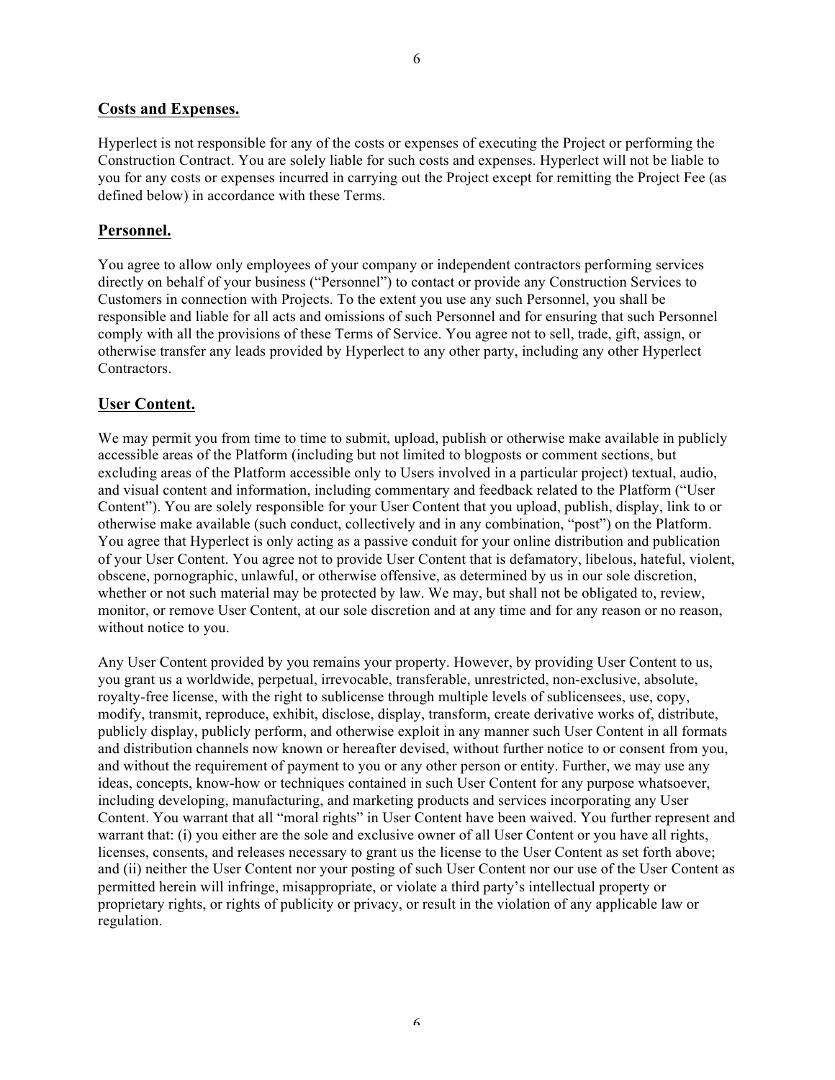# **Costs and Expenses.**

Hyperlect is not responsible for any of the costs or expenses of executing the Project or performing the Construction Contract. You are solely liable for such costs and expenses. Hyperlect will not be liable to you for any costs or expenses incurred in carrying out the Project except for remitting the Project Fee (as defined below) in accordance with these Terms.

### **Personnel.**

You agree to allow only employees of your company or independent contractors performing services directly on behalf of your business ("Personnel") to contact or provide any Construction Services to Customers in connection with Projects. To the extent you use any such Personnel, you shall be responsible and liable for all acts and omissions of such Personnel and for ensuring that such Personnel comply with all the provisions of these Terms of Service. You agree not to sell, trade, gift, assign, or otherwise transfer any leads provided by Hyperlect to any other party, including any other Hyperlect Contractors.

### **User Content.**

We may permit you from time to time to submit, upload, publish or otherwise make available in publicly accessible areas of the Platform (including but not limited to blogposts or comment sections, but excluding areas of the Platform accessible only to Users involved in a particular project) textual, audio, and visual content and information, including commentary and feedback related to the Platform ("User Content"). You are solely responsible for your User Content that you upload, publish, display, link to or otherwise make available (such conduct, collectively and in any combination, "post") on the Platform. You agree that Hyperlect is only acting as a passive conduit for your online distribution and publication of your User Content. You agree not to provide User Content that is defamatory, libelous, hateful, violent, obscene, pornographic, unlawful, or otherwise offensive, as determined by us in our sole discretion, whether or not such material may be protected by law. We may, but shall not be obligated to, review, monitor, or remove User Content, at our sole discretion and at any time and for any reason or no reason, without notice to you.

Any User Content provided by you remains your property. However, by providing User Content to us, you grant us a worldwide, perpetual, irrevocable, transferable, unrestricted, non-exclusive, absolute, royalty-free license, with the right to sublicense through multiple levels of sublicensees, use, copy, modify, transmit, reproduce, exhibit, disclose, display, transform, create derivative works of, distribute, publicly display, publicly perform, and otherwise exploit in any manner such User Content in all formats and distribution channels now known or hereafter devised, without further notice to or consent from you, and without the requirement of payment to you or any other person or entity. Further, we may use any ideas, concepts, know-how or techniques contained in such User Content for any purpose whatsoever, including developing, manufacturing, and marketing products and services incorporating any User Content. You warrant that all "moral rights" in User Content have been waived. You further represent and warrant that: (i) you either are the sole and exclusive owner of all User Content or you have all rights, licenses, consents, and releases necessary to grant us the license to the User Content as set forth above; and (ii) neither the User Content nor your posting of such User Content nor our use of the User Content as permitted herein will infringe, misappropriate, or violate a third party's intellectual property or proprietary rights, or rights of publicity or privacy, or result in the violation of any applicable law or regulation.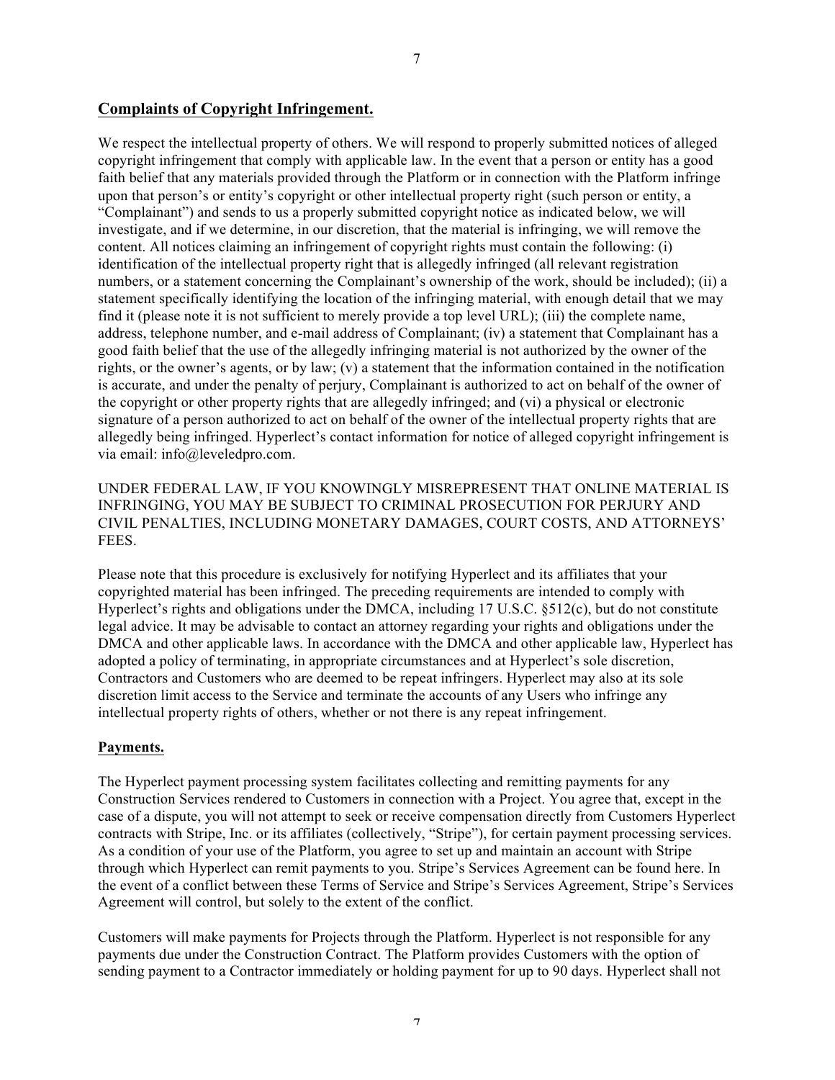### **Complaints of Copyright Infringement.**

We respect the intellectual property of others. We will respond to properly submitted notices of alleged copyright infringement that comply with applicable law. In the event that a person or entity has a good faith belief that any materials provided through the Platform or in connection with the Platform infringe upon that person's or entity's copyright or other intellectual property right (such person or entity, a "Complainant") and sends to us a properly submitted copyright notice as indicated below, we will investigate, and if we determine, in our discretion, that the material is infringing, we will remove the content. All notices claiming an infringement of copyright rights must contain the following: (i) identification of the intellectual property right that is allegedly infringed (all relevant registration numbers, or a statement concerning the Complainant's ownership of the work, should be included); (ii) a statement specifically identifying the location of the infringing material, with enough detail that we may find it (please note it is not sufficient to merely provide a top level URL); (iii) the complete name, address, telephone number, and e-mail address of Complainant; (iv) a statement that Complainant has a good faith belief that the use of the allegedly infringing material is not authorized by the owner of the rights, or the owner's agents, or by law; (v) a statement that the information contained in the notification is accurate, and under the penalty of perjury, Complainant is authorized to act on behalf of the owner of the copyright or other property rights that are allegedly infringed; and (vi) a physical or electronic signature of a person authorized to act on behalf of the owner of the intellectual property rights that are allegedly being infringed. Hyperlect's contact information for notice of alleged copyright infringement is via email: info@leveledpro.com.

UNDER FEDERAL LAW, IF YOU KNOWINGLY MISREPRESENT THAT ONLINE MATERIAL IS INFRINGING, YOU MAY BE SUBJECT TO CRIMINAL PROSECUTION FOR PERJURY AND CIVIL PENALTIES, INCLUDING MONETARY DAMAGES, COURT COSTS, AND ATTORNEYS' FEES.

Please note that this procedure is exclusively for notifying Hyperlect and its affiliates that your copyrighted material has been infringed. The preceding requirements are intended to comply with Hyperlect's rights and obligations under the DMCA, including 17 U.S.C. §512(c), but do not constitute legal advice. It may be advisable to contact an attorney regarding your rights and obligations under the DMCA and other applicable laws. In accordance with the DMCA and other applicable law, Hyperlect has adopted a policy of terminating, in appropriate circumstances and at Hyperlect's sole discretion, Contractors and Customers who are deemed to be repeat infringers. Hyperlect may also at its sole discretion limit access to the Service and terminate the accounts of any Users who infringe any intellectual property rights of others, whether or not there is any repeat infringement.

#### **Payments.**

The Hyperlect payment processing system facilitates collecting and remitting payments for any Construction Services rendered to Customers in connection with a Project. You agree that, except in the case of a dispute, you will not attempt to seek or receive compensation directly from Customers Hyperlect contracts with Stripe, Inc. or its affiliates (collectively, "Stripe"), for certain payment processing services. As a condition of your use of the Platform, you agree to set up and maintain an account with Stripe through which Hyperlect can remit payments to you. Stripe's Services Agreement can be found here. In the event of a conflict between these Terms of Service and Stripe's Services Agreement, Stripe's Services Agreement will control, but solely to the extent of the conflict.

Customers will make payments for Projects through the Platform. Hyperlect is not responsible for any payments due under the Construction Contract. The Platform provides Customers with the option of sending payment to a Contractor immediately or holding payment for up to 90 days. Hyperlect shall not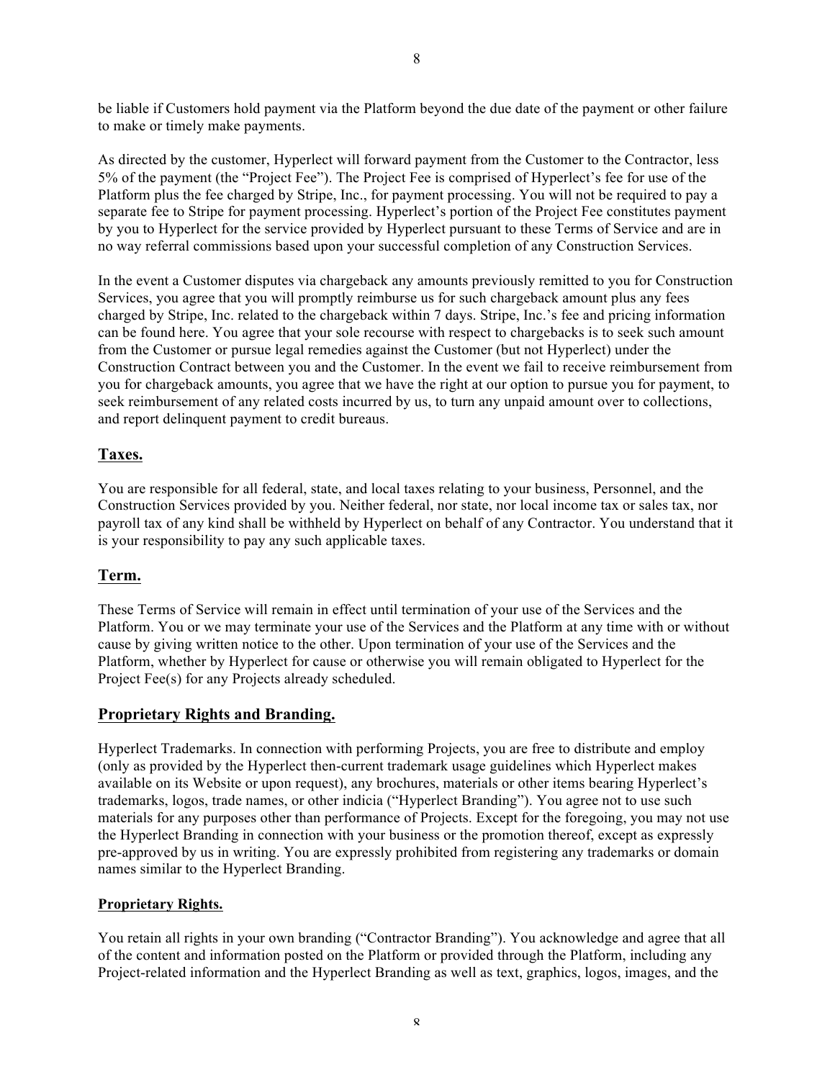be liable if Customers hold payment via the Platform beyond the due date of the payment or other failure to make or timely make payments.

As directed by the customer, Hyperlect will forward payment from the Customer to the Contractor, less 5% of the payment (the "Project Fee"). The Project Fee is comprised of Hyperlect's fee for use of the Platform plus the fee charged by Stripe, Inc., for payment processing. You will not be required to pay a separate fee to Stripe for payment processing. Hyperlect's portion of the Project Fee constitutes payment by you to Hyperlect for the service provided by Hyperlect pursuant to these Terms of Service and are in no way referral commissions based upon your successful completion of any Construction Services.

In the event a Customer disputes via chargeback any amounts previously remitted to you for Construction Services, you agree that you will promptly reimburse us for such chargeback amount plus any fees charged by Stripe, Inc. related to the chargeback within 7 days. Stripe, Inc.'s fee and pricing information can be found here. You agree that your sole recourse with respect to chargebacks is to seek such amount from the Customer or pursue legal remedies against the Customer (but not Hyperlect) under the Construction Contract between you and the Customer. In the event we fail to receive reimbursement from you for chargeback amounts, you agree that we have the right at our option to pursue you for payment, to seek reimbursement of any related costs incurred by us, to turn any unpaid amount over to collections, and report delinquent payment to credit bureaus.

# **Taxes.**

You are responsible for all federal, state, and local taxes relating to your business, Personnel, and the Construction Services provided by you. Neither federal, nor state, nor local income tax or sales tax, nor payroll tax of any kind shall be withheld by Hyperlect on behalf of any Contractor. You understand that it is your responsibility to pay any such applicable taxes.

# **Term.**

These Terms of Service will remain in effect until termination of your use of the Services and the Platform. You or we may terminate your use of the Services and the Platform at any time with or without cause by giving written notice to the other. Upon termination of your use of the Services and the Platform, whether by Hyperlect for cause or otherwise you will remain obligated to Hyperlect for the Project Fee(s) for any Projects already scheduled.

### **Proprietary Rights and Branding.**

Hyperlect Trademarks. In connection with performing Projects, you are free to distribute and employ (only as provided by the Hyperlect then-current trademark usage guidelines which Hyperlect makes available on its Website or upon request), any brochures, materials or other items bearing Hyperlect's trademarks, logos, trade names, or other indicia ("Hyperlect Branding"). You agree not to use such materials for any purposes other than performance of Projects. Except for the foregoing, you may not use the Hyperlect Branding in connection with your business or the promotion thereof, except as expressly pre-approved by us in writing. You are expressly prohibited from registering any trademarks or domain names similar to the Hyperlect Branding.

### **Proprietary Rights.**

You retain all rights in your own branding ("Contractor Branding"). You acknowledge and agree that all of the content and information posted on the Platform or provided through the Platform, including any Project-related information and the Hyperlect Branding as well as text, graphics, logos, images, and the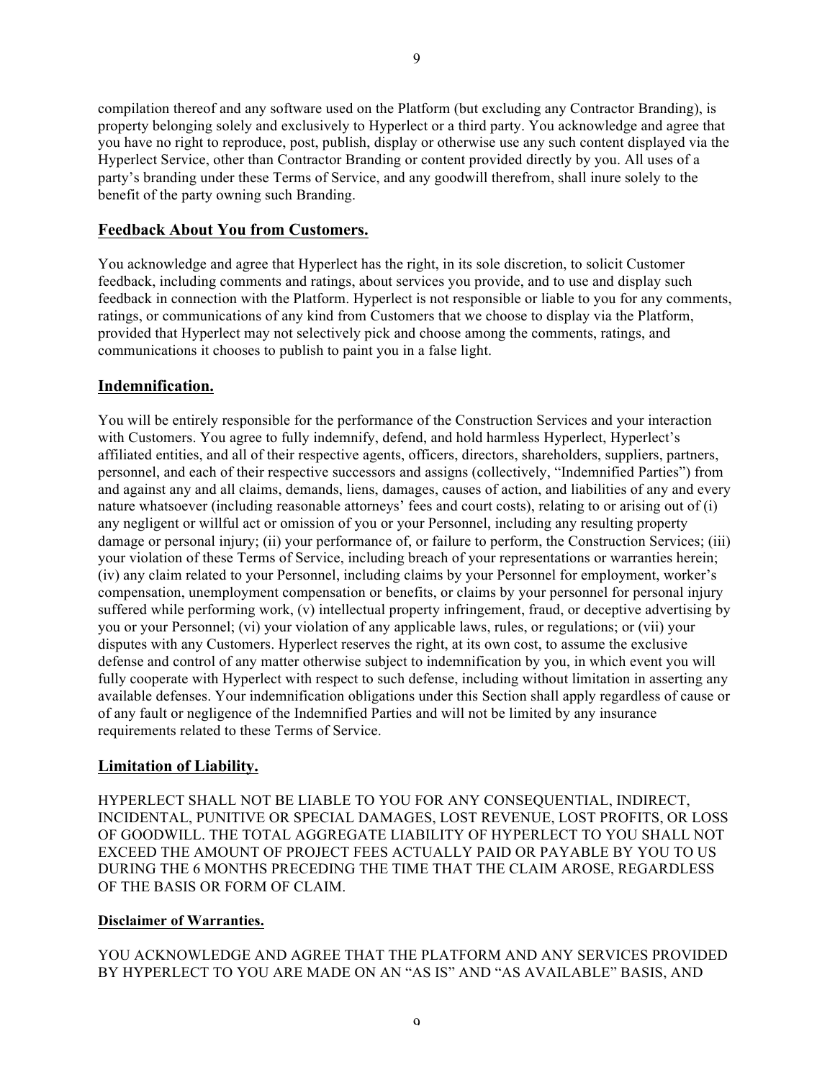compilation thereof and any software used on the Platform (but excluding any Contractor Branding), is property belonging solely and exclusively to Hyperlect or a third party. You acknowledge and agree that you have no right to reproduce, post, publish, display or otherwise use any such content displayed via the Hyperlect Service, other than Contractor Branding or content provided directly by you. All uses of a party's branding under these Terms of Service, and any goodwill therefrom, shall inure solely to the benefit of the party owning such Branding.

### **Feedback About You from Customers.**

You acknowledge and agree that Hyperlect has the right, in its sole discretion, to solicit Customer feedback, including comments and ratings, about services you provide, and to use and display such feedback in connection with the Platform. Hyperlect is not responsible or liable to you for any comments, ratings, or communications of any kind from Customers that we choose to display via the Platform, provided that Hyperlect may not selectively pick and choose among the comments, ratings, and communications it chooses to publish to paint you in a false light.

### **Indemnification.**

You will be entirely responsible for the performance of the Construction Services and your interaction with Customers. You agree to fully indemnify, defend, and hold harmless Hyperlect, Hyperlect's affiliated entities, and all of their respective agents, officers, directors, shareholders, suppliers, partners, personnel, and each of their respective successors and assigns (collectively, "Indemnified Parties") from and against any and all claims, demands, liens, damages, causes of action, and liabilities of any and every nature whatsoever (including reasonable attorneys' fees and court costs), relating to or arising out of (i) any negligent or willful act or omission of you or your Personnel, including any resulting property damage or personal injury; (ii) your performance of, or failure to perform, the Construction Services; (iii) your violation of these Terms of Service, including breach of your representations or warranties herein; (iv) any claim related to your Personnel, including claims by your Personnel for employment, worker's compensation, unemployment compensation or benefits, or claims by your personnel for personal injury suffered while performing work, (v) intellectual property infringement, fraud, or deceptive advertising by you or your Personnel; (vi) your violation of any applicable laws, rules, or regulations; or (vii) your disputes with any Customers. Hyperlect reserves the right, at its own cost, to assume the exclusive defense and control of any matter otherwise subject to indemnification by you, in which event you will fully cooperate with Hyperlect with respect to such defense, including without limitation in asserting any available defenses. Your indemnification obligations under this Section shall apply regardless of cause or of any fault or negligence of the Indemnified Parties and will not be limited by any insurance requirements related to these Terms of Service.

# **Limitation of Liability.**

HYPERLECT SHALL NOT BE LIABLE TO YOU FOR ANY CONSEQUENTIAL, INDIRECT, INCIDENTAL, PUNITIVE OR SPECIAL DAMAGES, LOST REVENUE, LOST PROFITS, OR LOSS OF GOODWILL. THE TOTAL AGGREGATE LIABILITY OF HYPERLECT TO YOU SHALL NOT EXCEED THE AMOUNT OF PROJECT FEES ACTUALLY PAID OR PAYABLE BY YOU TO US DURING THE 6 MONTHS PRECEDING THE TIME THAT THE CLAIM AROSE, REGARDLESS OF THE BASIS OR FORM OF CLAIM.

### **Disclaimer of Warranties.**

YOU ACKNOWLEDGE AND AGREE THAT THE PLATFORM AND ANY SERVICES PROVIDED BY HYPERLECT TO YOU ARE MADE ON AN "AS IS" AND "AS AVAILABLE" BASIS, AND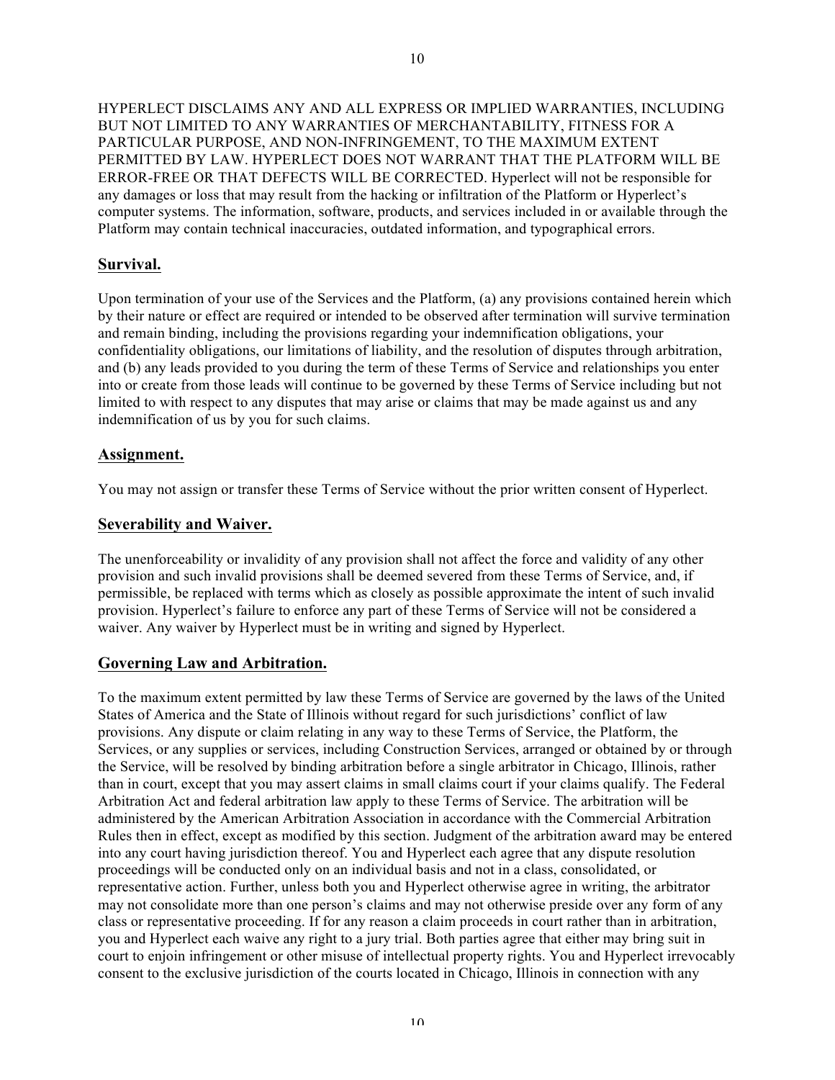HYPERLECT DISCLAIMS ANY AND ALL EXPRESS OR IMPLIED WARRANTIES, INCLUDING BUT NOT LIMITED TO ANY WARRANTIES OF MERCHANTABILITY, FITNESS FOR A PARTICULAR PURPOSE, AND NON-INFRINGEMENT, TO THE MAXIMUM EXTENT PERMITTED BY LAW. HYPERLECT DOES NOT WARRANT THAT THE PLATFORM WILL BE ERROR-FREE OR THAT DEFECTS WILL BE CORRECTED. Hyperlect will not be responsible for any damages or loss that may result from the hacking or infiltration of the Platform or Hyperlect's computer systems. The information, software, products, and services included in or available through the Platform may contain technical inaccuracies, outdated information, and typographical errors.

## **Survival.**

Upon termination of your use of the Services and the Platform, (a) any provisions contained herein which by their nature or effect are required or intended to be observed after termination will survive termination and remain binding, including the provisions regarding your indemnification obligations, your confidentiality obligations, our limitations of liability, and the resolution of disputes through arbitration, and (b) any leads provided to you during the term of these Terms of Service and relationships you enter into or create from those leads will continue to be governed by these Terms of Service including but not limited to with respect to any disputes that may arise or claims that may be made against us and any indemnification of us by you for such claims.

### **Assignment.**

You may not assign or transfer these Terms of Service without the prior written consent of Hyperlect.

# **Severability and Waiver.**

The unenforceability or invalidity of any provision shall not affect the force and validity of any other provision and such invalid provisions shall be deemed severed from these Terms of Service, and, if permissible, be replaced with terms which as closely as possible approximate the intent of such invalid provision. Hyperlect's failure to enforce any part of these Terms of Service will not be considered a waiver. Any waiver by Hyperlect must be in writing and signed by Hyperlect.

# **Governing Law and Arbitration.**

To the maximum extent permitted by law these Terms of Service are governed by the laws of the United States of America and the State of Illinois without regard for such jurisdictions' conflict of law provisions. Any dispute or claim relating in any way to these Terms of Service, the Platform, the Services, or any supplies or services, including Construction Services, arranged or obtained by or through the Service, will be resolved by binding arbitration before a single arbitrator in Chicago, Illinois, rather than in court, except that you may assert claims in small claims court if your claims qualify. The Federal Arbitration Act and federal arbitration law apply to these Terms of Service. The arbitration will be administered by the American Arbitration Association in accordance with the Commercial Arbitration Rules then in effect, except as modified by this section. Judgment of the arbitration award may be entered into any court having jurisdiction thereof. You and Hyperlect each agree that any dispute resolution proceedings will be conducted only on an individual basis and not in a class, consolidated, or representative action. Further, unless both you and Hyperlect otherwise agree in writing, the arbitrator may not consolidate more than one person's claims and may not otherwise preside over any form of any class or representative proceeding. If for any reason a claim proceeds in court rather than in arbitration, you and Hyperlect each waive any right to a jury trial. Both parties agree that either may bring suit in court to enjoin infringement or other misuse of intellectual property rights. You and Hyperlect irrevocably consent to the exclusive jurisdiction of the courts located in Chicago, Illinois in connection with any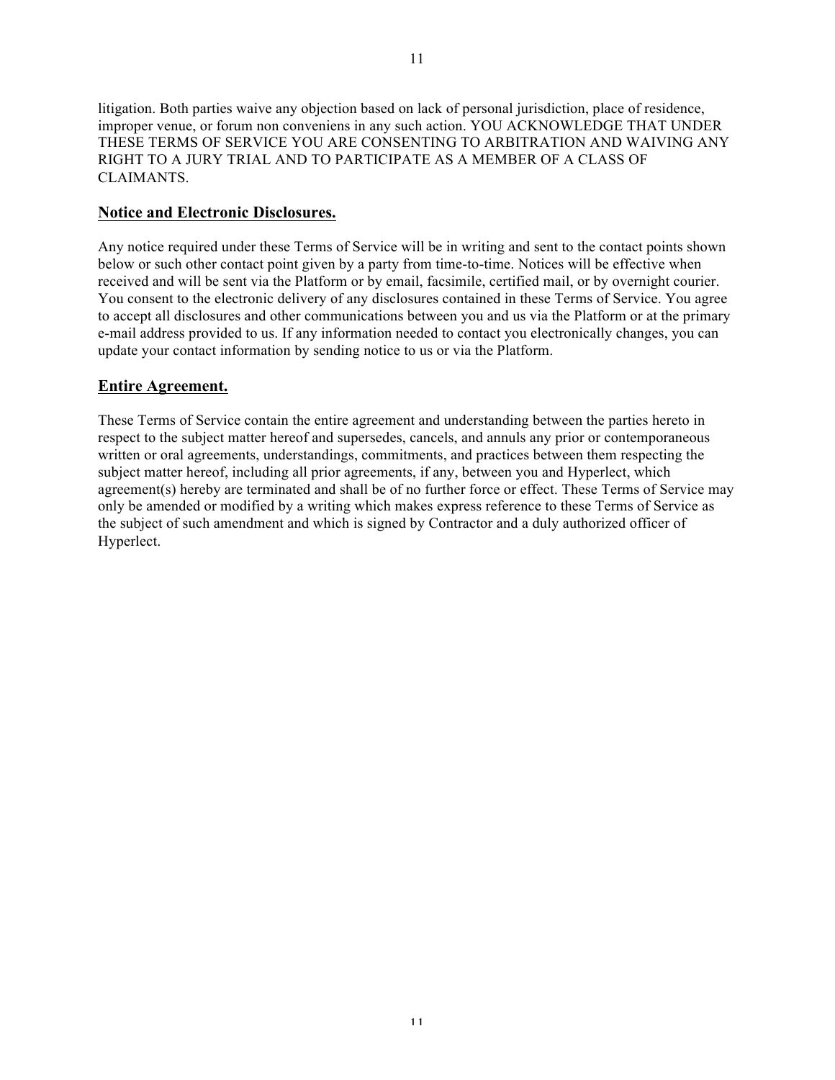litigation. Both parties waive any objection based on lack of personal jurisdiction, place of residence, improper venue, or forum non conveniens in any such action. YOU ACKNOWLEDGE THAT UNDER THESE TERMS OF SERVICE YOU ARE CONSENTING TO ARBITRATION AND WAIVING ANY RIGHT TO A JURY TRIAL AND TO PARTICIPATE AS A MEMBER OF A CLASS OF CLAIMANTS.

### **Notice and Electronic Disclosures.**

Any notice required under these Terms of Service will be in writing and sent to the contact points shown below or such other contact point given by a party from time-to-time. Notices will be effective when received and will be sent via the Platform or by email, facsimile, certified mail, or by overnight courier. You consent to the electronic delivery of any disclosures contained in these Terms of Service. You agree to accept all disclosures and other communications between you and us via the Platform or at the primary e-mail address provided to us. If any information needed to contact you electronically changes, you can update your contact information by sending notice to us or via the Platform.

### **Entire Agreement.**

These Terms of Service contain the entire agreement and understanding between the parties hereto in respect to the subject matter hereof and supersedes, cancels, and annuls any prior or contemporaneous written or oral agreements, understandings, commitments, and practices between them respecting the subject matter hereof, including all prior agreements, if any, between you and Hyperlect, which agreement(s) hereby are terminated and shall be of no further force or effect. These Terms of Service may only be amended or modified by a writing which makes express reference to these Terms of Service as the subject of such amendment and which is signed by Contractor and a duly authorized officer of Hyperlect.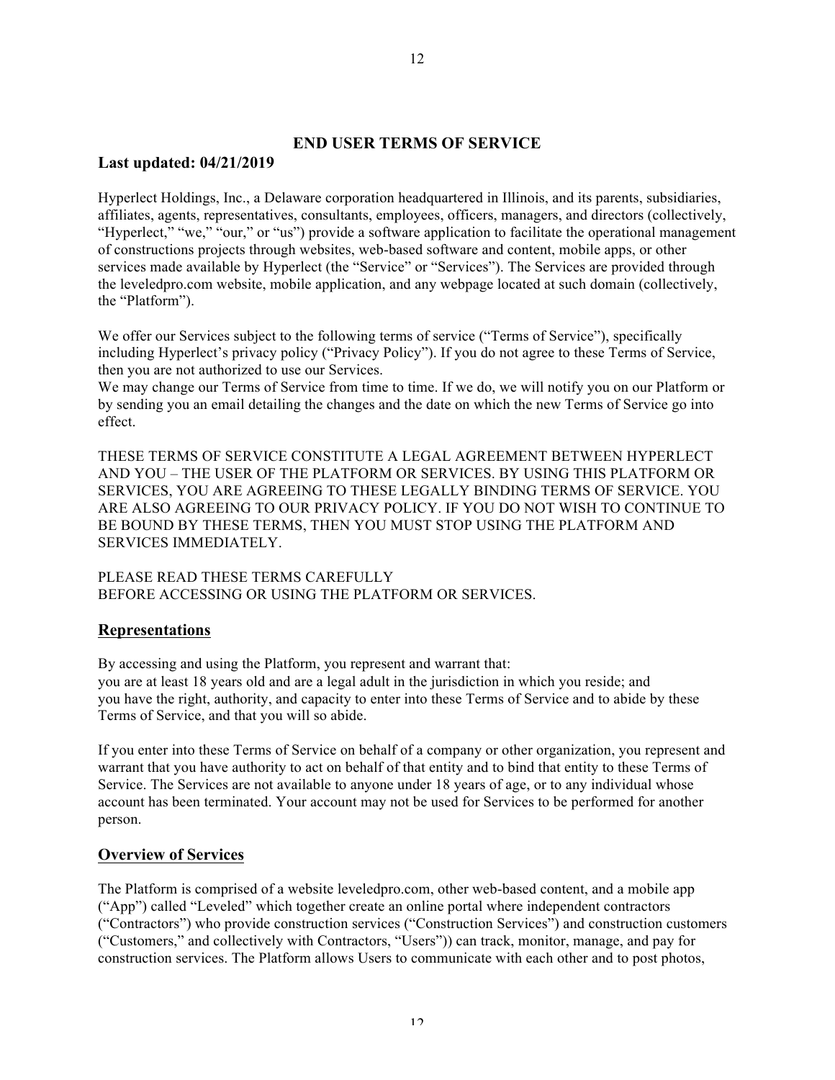# **END USER TERMS OF SERVICE**

### **Last updated: 04/21/2019**

Hyperlect Holdings, Inc., a Delaware corporation headquartered in Illinois, and its parents, subsidiaries, affiliates, agents, representatives, consultants, employees, officers, managers, and directors (collectively, "Hyperlect," "we," "our," or "us") provide a software application to facilitate the operational management of constructions projects through websites, web-based software and content, mobile apps, or other services made available by Hyperlect (the "Service" or "Services"). The Services are provided through the leveledpro.com website, mobile application, and any webpage located at such domain (collectively, the "Platform").

We offer our Services subject to the following terms of service ("Terms of Service"), specifically including Hyperlect's privacy policy ("Privacy Policy"). If you do not agree to these Terms of Service, then you are not authorized to use our Services.

We may change our Terms of Service from time to time. If we do, we will notify you on our Platform or by sending you an email detailing the changes and the date on which the new Terms of Service go into effect.

THESE TERMS OF SERVICE CONSTITUTE A LEGAL AGREEMENT BETWEEN HYPERLECT AND YOU – THE USER OF THE PLATFORM OR SERVICES. BY USING THIS PLATFORM OR SERVICES, YOU ARE AGREEING TO THESE LEGALLY BINDING TERMS OF SERVICE. YOU ARE ALSO AGREEING TO OUR PRIVACY POLICY. IF YOU DO NOT WISH TO CONTINUE TO BE BOUND BY THESE TERMS, THEN YOU MUST STOP USING THE PLATFORM AND SERVICES IMMEDIATELY.

PLEASE READ THESE TERMS CAREFULLY BEFORE ACCESSING OR USING THE PLATFORM OR SERVICES.

# **Representations**

By accessing and using the Platform, you represent and warrant that: you are at least 18 years old and are a legal adult in the jurisdiction in which you reside; and you have the right, authority, and capacity to enter into these Terms of Service and to abide by these Terms of Service, and that you will so abide.

If you enter into these Terms of Service on behalf of a company or other organization, you represent and warrant that you have authority to act on behalf of that entity and to bind that entity to these Terms of Service. The Services are not available to anyone under 18 years of age, or to any individual whose account has been terminated. Your account may not be used for Services to be performed for another person.

# **Overview of Services**

The Platform is comprised of a website leveledpro.com, other web-based content, and a mobile app ("App") called "Leveled" which together create an online portal where independent contractors ("Contractors") who provide construction services ("Construction Services") and construction customers ("Customers," and collectively with Contractors, "Users")) can track, monitor, manage, and pay for construction services. The Platform allows Users to communicate with each other and to post photos,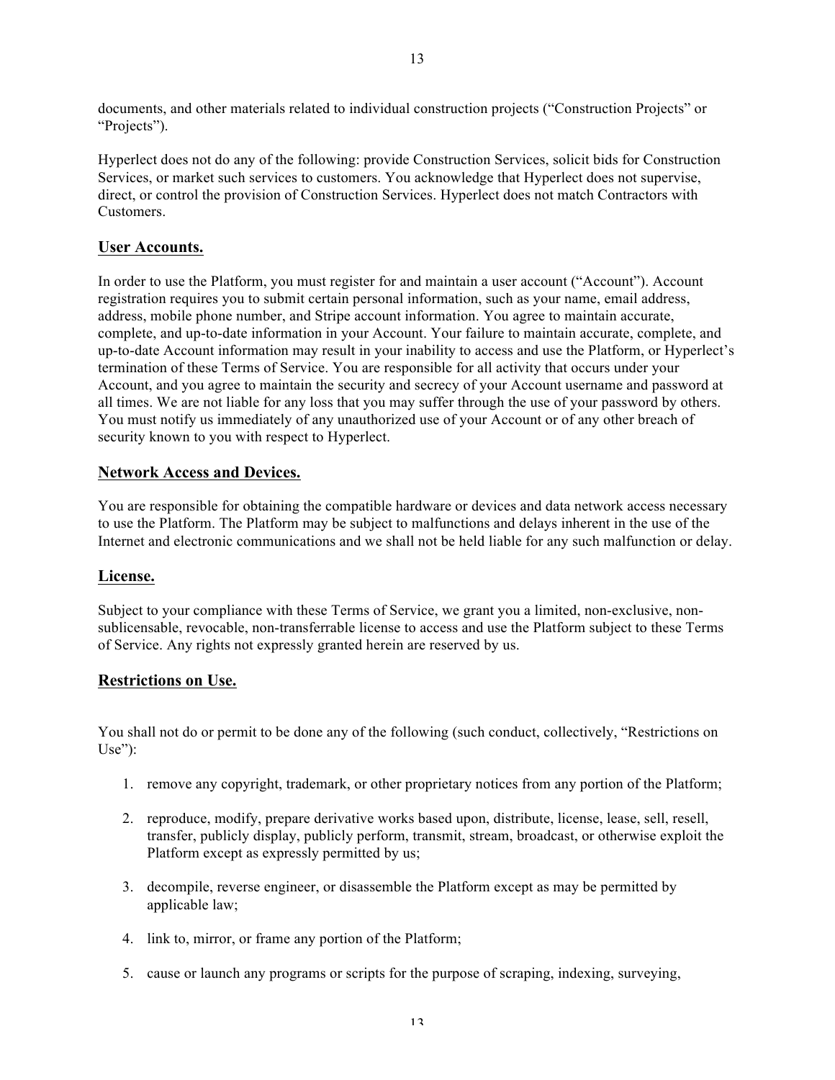documents, and other materials related to individual construction projects ("Construction Projects" or "Projects").

Hyperlect does not do any of the following: provide Construction Services, solicit bids for Construction Services, or market such services to customers. You acknowledge that Hyperlect does not supervise, direct, or control the provision of Construction Services. Hyperlect does not match Contractors with Customers.

### **User Accounts.**

In order to use the Platform, you must register for and maintain a user account ("Account"). Account registration requires you to submit certain personal information, such as your name, email address, address, mobile phone number, and Stripe account information. You agree to maintain accurate, complete, and up-to-date information in your Account. Your failure to maintain accurate, complete, and up-to-date Account information may result in your inability to access and use the Platform, or Hyperlect's termination of these Terms of Service. You are responsible for all activity that occurs under your Account, and you agree to maintain the security and secrecy of your Account username and password at all times. We are not liable for any loss that you may suffer through the use of your password by others. You must notify us immediately of any unauthorized use of your Account or of any other breach of security known to you with respect to Hyperlect.

### **Network Access and Devices.**

You are responsible for obtaining the compatible hardware or devices and data network access necessary to use the Platform. The Platform may be subject to malfunctions and delays inherent in the use of the Internet and electronic communications and we shall not be held liable for any such malfunction or delay.

### **License.**

Subject to your compliance with these Terms of Service, we grant you a limited, non-exclusive, nonsublicensable, revocable, non-transferrable license to access and use the Platform subject to these Terms of Service. Any rights not expressly granted herein are reserved by us.

### **Restrictions on Use.**

You shall not do or permit to be done any of the following (such conduct, collectively, "Restrictions on Use"):

- 1. remove any copyright, trademark, or other proprietary notices from any portion of the Platform;
- 2. reproduce, modify, prepare derivative works based upon, distribute, license, lease, sell, resell, transfer, publicly display, publicly perform, transmit, stream, broadcast, or otherwise exploit the Platform except as expressly permitted by us;
- 3. decompile, reverse engineer, or disassemble the Platform except as may be permitted by applicable law;
- 4. link to, mirror, or frame any portion of the Platform;
- 5. cause or launch any programs or scripts for the purpose of scraping, indexing, surveying,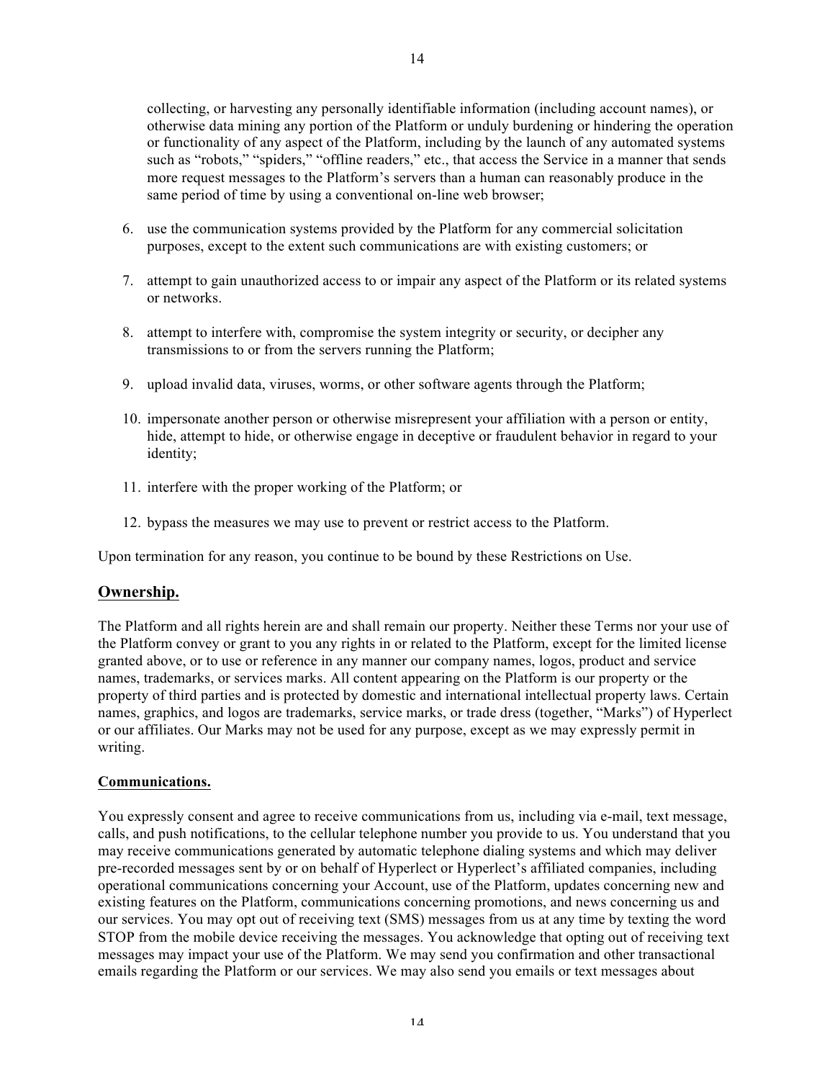collecting, or harvesting any personally identifiable information (including account names), or otherwise data mining any portion of the Platform or unduly burdening or hindering the operation or functionality of any aspect of the Platform, including by the launch of any automated systems such as "robots," "spiders," "offline readers," etc., that access the Service in a manner that sends more request messages to the Platform's servers than a human can reasonably produce in the same period of time by using a conventional on-line web browser;

- 6. use the communication systems provided by the Platform for any commercial solicitation purposes, except to the extent such communications are with existing customers; or
- 7. attempt to gain unauthorized access to or impair any aspect of the Platform or its related systems or networks.
- 8. attempt to interfere with, compromise the system integrity or security, or decipher any transmissions to or from the servers running the Platform;
- 9. upload invalid data, viruses, worms, or other software agents through the Platform;
- 10. impersonate another person or otherwise misrepresent your affiliation with a person or entity, hide, attempt to hide, or otherwise engage in deceptive or fraudulent behavior in regard to your identity;
- 11. interfere with the proper working of the Platform; or
- 12. bypass the measures we may use to prevent or restrict access to the Platform.

Upon termination for any reason, you continue to be bound by these Restrictions on Use.

### **Ownership.**

The Platform and all rights herein are and shall remain our property. Neither these Terms nor your use of the Platform convey or grant to you any rights in or related to the Platform, except for the limited license granted above, or to use or reference in any manner our company names, logos, product and service names, trademarks, or services marks. All content appearing on the Platform is our property or the property of third parties and is protected by domestic and international intellectual property laws. Certain names, graphics, and logos are trademarks, service marks, or trade dress (together, "Marks") of Hyperlect or our affiliates. Our Marks may not be used for any purpose, except as we may expressly permit in writing.

#### **Communications.**

You expressly consent and agree to receive communications from us, including via e-mail, text message, calls, and push notifications, to the cellular telephone number you provide to us. You understand that you may receive communications generated by automatic telephone dialing systems and which may deliver pre-recorded messages sent by or on behalf of Hyperlect or Hyperlect's affiliated companies, including operational communications concerning your Account, use of the Platform, updates concerning new and existing features on the Platform, communications concerning promotions, and news concerning us and our services. You may opt out of receiving text (SMS) messages from us at any time by texting the word STOP from the mobile device receiving the messages. You acknowledge that opting out of receiving text messages may impact your use of the Platform. We may send you confirmation and other transactional emails regarding the Platform or our services. We may also send you emails or text messages about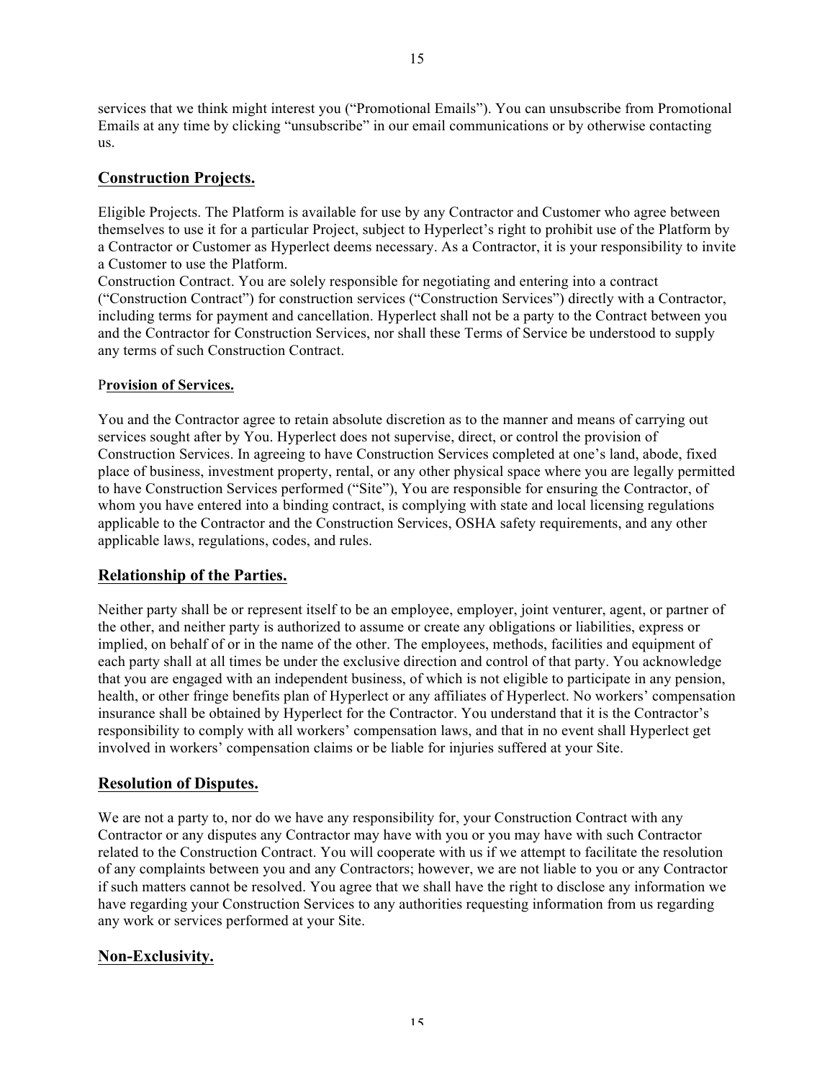services that we think might interest you ("Promotional Emails"). You can unsubscribe from Promotional Emails at any time by clicking "unsubscribe" in our email communications or by otherwise contacting us.

# **Construction Projects.**

Eligible Projects. The Platform is available for use by any Contractor and Customer who agree between themselves to use it for a particular Project, subject to Hyperlect's right to prohibit use of the Platform by a Contractor or Customer as Hyperlect deems necessary. As a Contractor, it is your responsibility to invite a Customer to use the Platform.

Construction Contract. You are solely responsible for negotiating and entering into a contract ("Construction Contract") for construction services ("Construction Services") directly with a Contractor, including terms for payment and cancellation. Hyperlect shall not be a party to the Contract between you and the Contractor for Construction Services, nor shall these Terms of Service be understood to supply any terms of such Construction Contract.

### P**rovision of Services.**

You and the Contractor agree to retain absolute discretion as to the manner and means of carrying out services sought after by You. Hyperlect does not supervise, direct, or control the provision of Construction Services. In agreeing to have Construction Services completed at one's land, abode, fixed place of business, investment property, rental, or any other physical space where you are legally permitted to have Construction Services performed ("Site"), You are responsible for ensuring the Contractor, of whom you have entered into a binding contract, is complying with state and local licensing regulations applicable to the Contractor and the Construction Services, OSHA safety requirements, and any other applicable laws, regulations, codes, and rules.

### **Relationship of the Parties.**

Neither party shall be or represent itself to be an employee, employer, joint venturer, agent, or partner of the other, and neither party is authorized to assume or create any obligations or liabilities, express or implied, on behalf of or in the name of the other. The employees, methods, facilities and equipment of each party shall at all times be under the exclusive direction and control of that party. You acknowledge that you are engaged with an independent business, of which is not eligible to participate in any pension, health, or other fringe benefits plan of Hyperlect or any affiliates of Hyperlect. No workers' compensation insurance shall be obtained by Hyperlect for the Contractor. You understand that it is the Contractor's responsibility to comply with all workers' compensation laws, and that in no event shall Hyperlect get involved in workers' compensation claims or be liable for injuries suffered at your Site.

# **Resolution of Disputes.**

We are not a party to, nor do we have any responsibility for, your Construction Contract with any Contractor or any disputes any Contractor may have with you or you may have with such Contractor related to the Construction Contract. You will cooperate with us if we attempt to facilitate the resolution of any complaints between you and any Contractors; however, we are not liable to you or any Contractor if such matters cannot be resolved. You agree that we shall have the right to disclose any information we have regarding your Construction Services to any authorities requesting information from us regarding any work or services performed at your Site.

# **Non-Exclusivity.**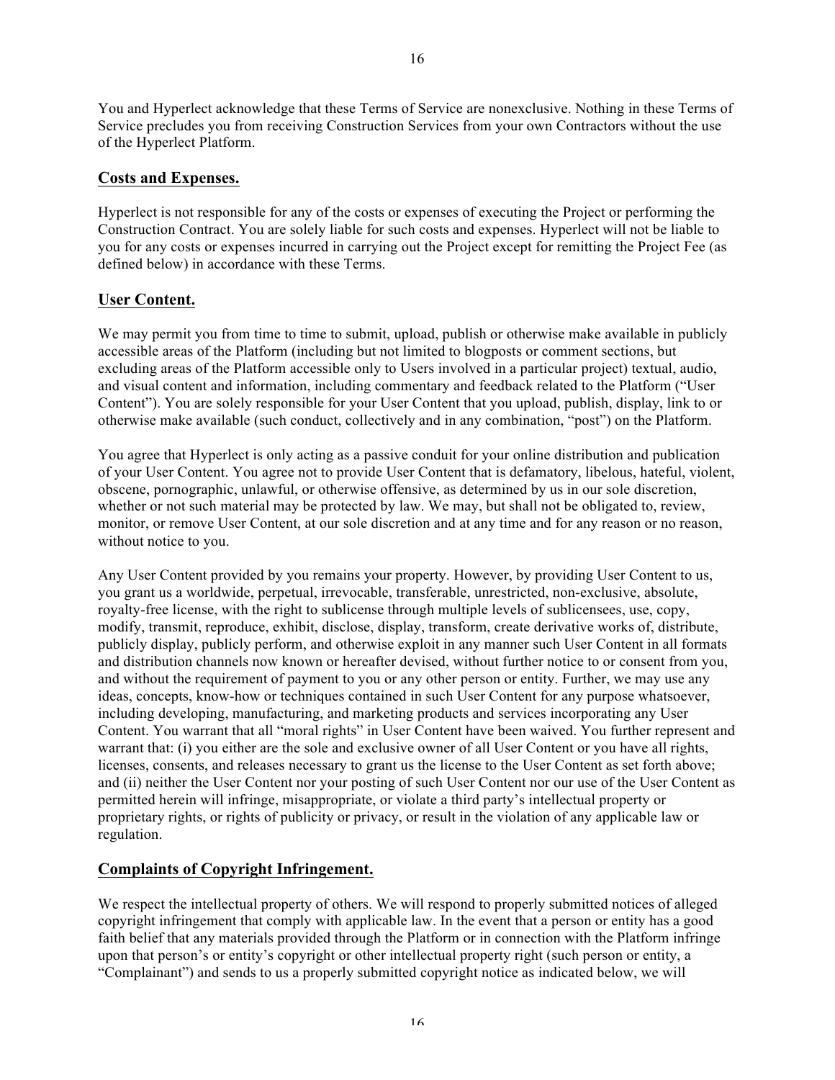16

You and Hyperlect acknowledge that these Terms of Service are nonexclusive. Nothing in these Terms of Service precludes you from receiving Construction Services from your own Contractors without the use of the Hyperlect Platform.

### **Costs and Expenses.**

Hyperlect is not responsible for any of the costs or expenses of executing the Project or performing the Construction Contract. You are solely liable for such costs and expenses. Hyperlect will not be liable to you for any costs or expenses incurred in carrying out the Project except for remitting the Project Fee (as defined below) in accordance with these Terms.

# **User Content.**

We may permit you from time to time to submit, upload, publish or otherwise make available in publicly accessible areas of the Platform (including but not limited to blogposts or comment sections, but excluding areas of the Platform accessible only to Users involved in a particular project) textual, audio, and visual content and information, including commentary and feedback related to the Platform ("User Content"). You are solely responsible for your User Content that you upload, publish, display, link to or otherwise make available (such conduct, collectively and in any combination, "post") on the Platform.

You agree that Hyperlect is only acting as a passive conduit for your online distribution and publication of your User Content. You agree not to provide User Content that is defamatory, libelous, hateful, violent, obscene, pornographic, unlawful, or otherwise offensive, as determined by us in our sole discretion, whether or not such material may be protected by law. We may, but shall not be obligated to, review, monitor, or remove User Content, at our sole discretion and at any time and for any reason or no reason, without notice to you.

Any User Content provided by you remains your property. However, by providing User Content to us, you grant us a worldwide, perpetual, irrevocable, transferable, unrestricted, non-exclusive, absolute, royalty-free license, with the right to sublicense through multiple levels of sublicensees, use, copy, modify, transmit, reproduce, exhibit, disclose, display, transform, create derivative works of, distribute, publicly display, publicly perform, and otherwise exploit in any manner such User Content in all formats and distribution channels now known or hereafter devised, without further notice to or consent from you, and without the requirement of payment to you or any other person or entity. Further, we may use any ideas, concepts, know-how or techniques contained in such User Content for any purpose whatsoever, including developing, manufacturing, and marketing products and services incorporating any User Content. You warrant that all "moral rights" in User Content have been waived. You further represent and warrant that: (i) you either are the sole and exclusive owner of all User Content or you have all rights, licenses, consents, and releases necessary to grant us the license to the User Content as set forth above; and (ii) neither the User Content nor your posting of such User Content nor our use of the User Content as permitted herein will infringe, misappropriate, or violate a third party's intellectual property or proprietary rights, or rights of publicity or privacy, or result in the violation of any applicable law or regulation.

# **Complaints of Copyright Infringement.**

We respect the intellectual property of others. We will respond to properly submitted notices of alleged copyright infringement that comply with applicable law. In the event that a person or entity has a good faith belief that any materials provided through the Platform or in connection with the Platform infringe upon that person's or entity's copyright or other intellectual property right (such person or entity, a "Complainant") and sends to us a properly submitted copyright notice as indicated below, we will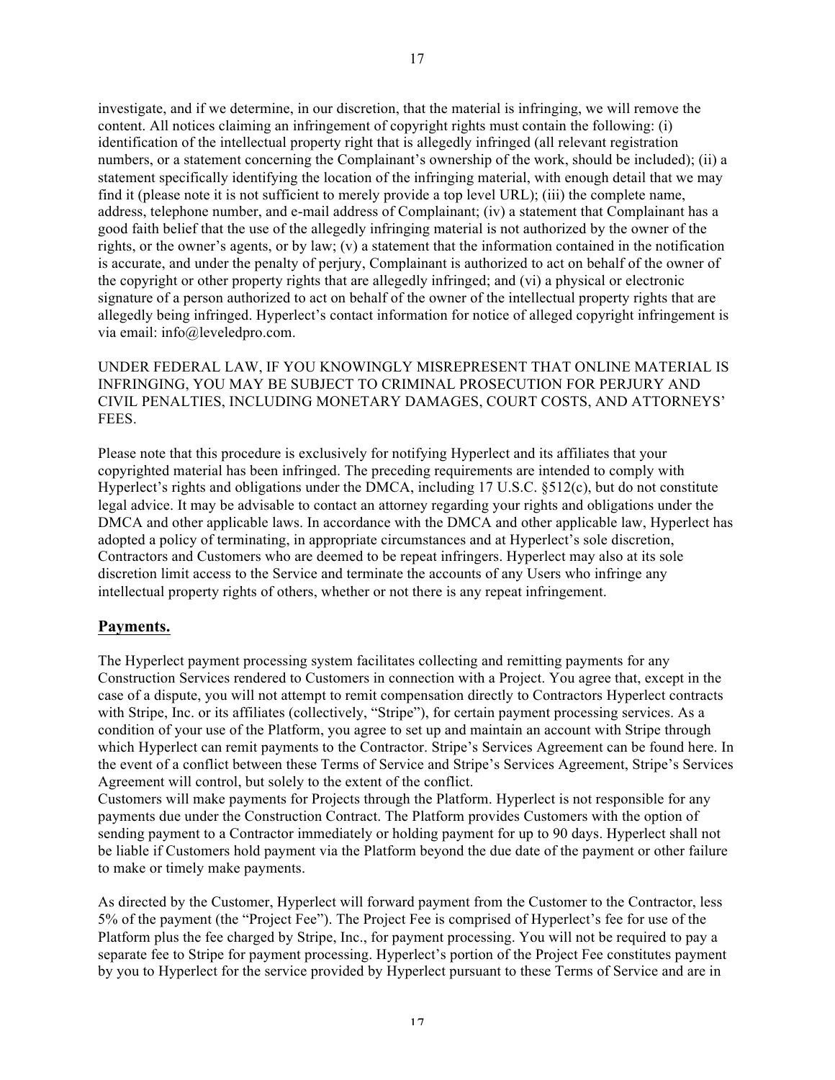investigate, and if we determine, in our discretion, that the material is infringing, we will remove the content. All notices claiming an infringement of copyright rights must contain the following: (i) identification of the intellectual property right that is allegedly infringed (all relevant registration numbers, or a statement concerning the Complainant's ownership of the work, should be included); (ii) a statement specifically identifying the location of the infringing material, with enough detail that we may find it (please note it is not sufficient to merely provide a top level URL); (iii) the complete name, address, telephone number, and e-mail address of Complainant; (iv) a statement that Complainant has a good faith belief that the use of the allegedly infringing material is not authorized by the owner of the rights, or the owner's agents, or by law; (v) a statement that the information contained in the notification is accurate, and under the penalty of perjury, Complainant is authorized to act on behalf of the owner of the copyright or other property rights that are allegedly infringed; and (vi) a physical or electronic signature of a person authorized to act on behalf of the owner of the intellectual property rights that are allegedly being infringed. Hyperlect's contact information for notice of alleged copyright infringement is via email: info@leveledpro.com.

UNDER FEDERAL LAW, IF YOU KNOWINGLY MISREPRESENT THAT ONLINE MATERIAL IS INFRINGING, YOU MAY BE SUBJECT TO CRIMINAL PROSECUTION FOR PERJURY AND CIVIL PENALTIES, INCLUDING MONETARY DAMAGES, COURT COSTS, AND ATTORNEYS' **FEES**.

Please note that this procedure is exclusively for notifying Hyperlect and its affiliates that your copyrighted material has been infringed. The preceding requirements are intended to comply with Hyperlect's rights and obligations under the DMCA, including 17 U.S.C. §512(c), but do not constitute legal advice. It may be advisable to contact an attorney regarding your rights and obligations under the DMCA and other applicable laws. In accordance with the DMCA and other applicable law, Hyperlect has adopted a policy of terminating, in appropriate circumstances and at Hyperlect's sole discretion, Contractors and Customers who are deemed to be repeat infringers. Hyperlect may also at its sole discretion limit access to the Service and terminate the accounts of any Users who infringe any intellectual property rights of others, whether or not there is any repeat infringement.

### **Payments.**

The Hyperlect payment processing system facilitates collecting and remitting payments for any Construction Services rendered to Customers in connection with a Project. You agree that, except in the case of a dispute, you will not attempt to remit compensation directly to Contractors Hyperlect contracts with Stripe, Inc. or its affiliates (collectively, "Stripe"), for certain payment processing services. As a condition of your use of the Platform, you agree to set up and maintain an account with Stripe through which Hyperlect can remit payments to the Contractor. Stripe's Services Agreement can be found here. In the event of a conflict between these Terms of Service and Stripe's Services Agreement, Stripe's Services Agreement will control, but solely to the extent of the conflict.

Customers will make payments for Projects through the Platform. Hyperlect is not responsible for any payments due under the Construction Contract. The Platform provides Customers with the option of sending payment to a Contractor immediately or holding payment for up to 90 days. Hyperlect shall not be liable if Customers hold payment via the Platform beyond the due date of the payment or other failure to make or timely make payments.

As directed by the Customer, Hyperlect will forward payment from the Customer to the Contractor, less 5% of the payment (the "Project Fee"). The Project Fee is comprised of Hyperlect's fee for use of the Platform plus the fee charged by Stripe, Inc., for payment processing. You will not be required to pay a separate fee to Stripe for payment processing. Hyperlect's portion of the Project Fee constitutes payment by you to Hyperlect for the service provided by Hyperlect pursuant to these Terms of Service and are in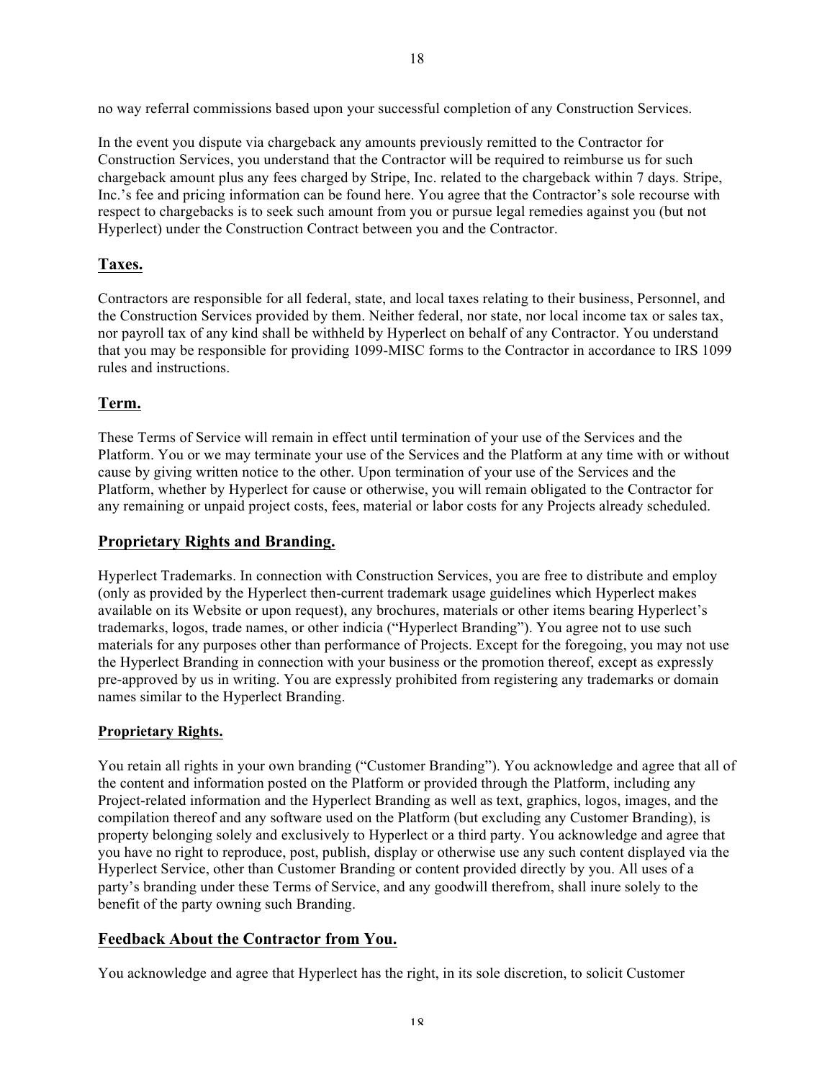no way referral commissions based upon your successful completion of any Construction Services.

In the event you dispute via chargeback any amounts previously remitted to the Contractor for Construction Services, you understand that the Contractor will be required to reimburse us for such chargeback amount plus any fees charged by Stripe, Inc. related to the chargeback within 7 days. Stripe, Inc.'s fee and pricing information can be found here. You agree that the Contractor's sole recourse with respect to chargebacks is to seek such amount from you or pursue legal remedies against you (but not Hyperlect) under the Construction Contract between you and the Contractor.

### **Taxes.**

Contractors are responsible for all federal, state, and local taxes relating to their business, Personnel, and the Construction Services provided by them. Neither federal, nor state, nor local income tax or sales tax, nor payroll tax of any kind shall be withheld by Hyperlect on behalf of any Contractor. You understand that you may be responsible for providing 1099-MISC forms to the Contractor in accordance to IRS 1099 rules and instructions.

### **Term.**

These Terms of Service will remain in effect until termination of your use of the Services and the Platform. You or we may terminate your use of the Services and the Platform at any time with or without cause by giving written notice to the other. Upon termination of your use of the Services and the Platform, whether by Hyperlect for cause or otherwise, you will remain obligated to the Contractor for any remaining or unpaid project costs, fees, material or labor costs for any Projects already scheduled.

#### **Proprietary Rights and Branding.**

Hyperlect Trademarks. In connection with Construction Services, you are free to distribute and employ (only as provided by the Hyperlect then-current trademark usage guidelines which Hyperlect makes available on its Website or upon request), any brochures, materials or other items bearing Hyperlect's trademarks, logos, trade names, or other indicia ("Hyperlect Branding"). You agree not to use such materials for any purposes other than performance of Projects. Except for the foregoing, you may not use the Hyperlect Branding in connection with your business or the promotion thereof, except as expressly pre-approved by us in writing. You are expressly prohibited from registering any trademarks or domain names similar to the Hyperlect Branding.

#### **Proprietary Rights.**

You retain all rights in your own branding ("Customer Branding"). You acknowledge and agree that all of the content and information posted on the Platform or provided through the Platform, including any Project-related information and the Hyperlect Branding as well as text, graphics, logos, images, and the compilation thereof and any software used on the Platform (but excluding any Customer Branding), is property belonging solely and exclusively to Hyperlect or a third party. You acknowledge and agree that you have no right to reproduce, post, publish, display or otherwise use any such content displayed via the Hyperlect Service, other than Customer Branding or content provided directly by you. All uses of a party's branding under these Terms of Service, and any goodwill therefrom, shall inure solely to the benefit of the party owning such Branding.

### **Feedback About the Contractor from You.**

You acknowledge and agree that Hyperlect has the right, in its sole discretion, to solicit Customer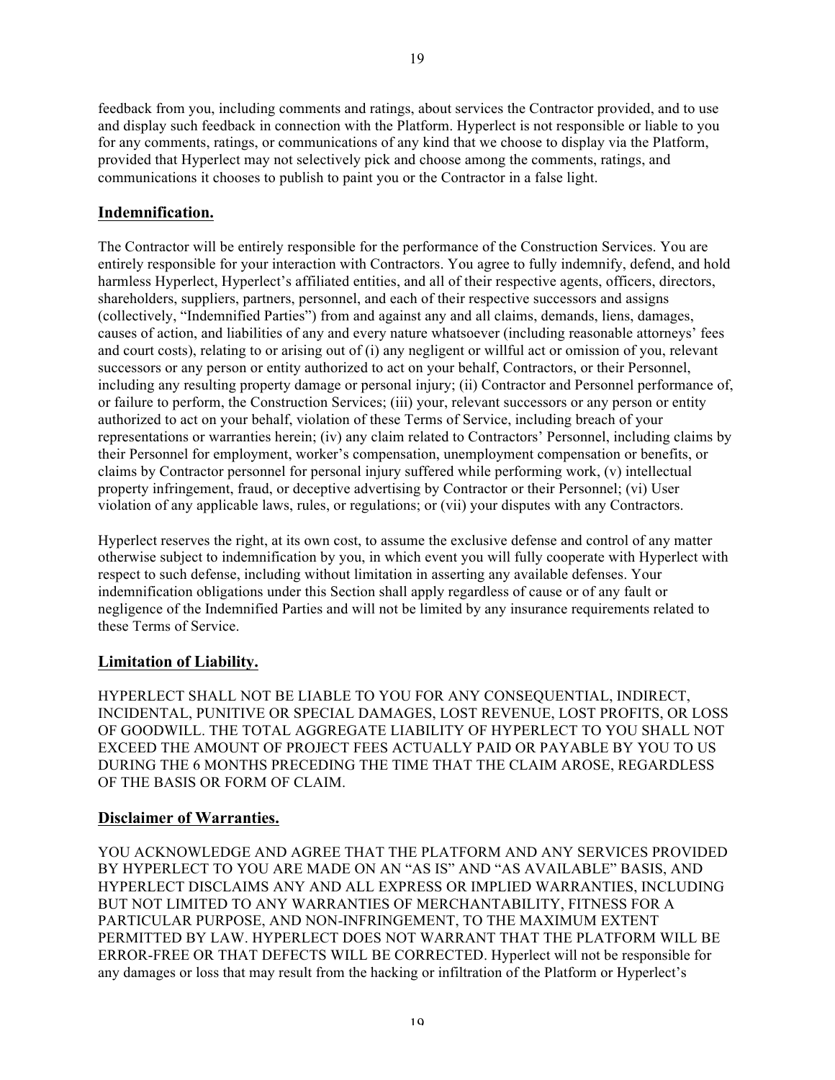feedback from you, including comments and ratings, about services the Contractor provided, and to use and display such feedback in connection with the Platform. Hyperlect is not responsible or liable to you for any comments, ratings, or communications of any kind that we choose to display via the Platform, provided that Hyperlect may not selectively pick and choose among the comments, ratings, and communications it chooses to publish to paint you or the Contractor in a false light.

### **Indemnification.**

The Contractor will be entirely responsible for the performance of the Construction Services. You are entirely responsible for your interaction with Contractors. You agree to fully indemnify, defend, and hold harmless Hyperlect, Hyperlect's affiliated entities, and all of their respective agents, officers, directors, shareholders, suppliers, partners, personnel, and each of their respective successors and assigns (collectively, "Indemnified Parties") from and against any and all claims, demands, liens, damages, causes of action, and liabilities of any and every nature whatsoever (including reasonable attorneys' fees and court costs), relating to or arising out of (i) any negligent or willful act or omission of you, relevant successors or any person or entity authorized to act on your behalf, Contractors, or their Personnel, including any resulting property damage or personal injury; (ii) Contractor and Personnel performance of, or failure to perform, the Construction Services; (iii) your, relevant successors or any person or entity authorized to act on your behalf, violation of these Terms of Service, including breach of your representations or warranties herein; (iv) any claim related to Contractors' Personnel, including claims by their Personnel for employment, worker's compensation, unemployment compensation or benefits, or claims by Contractor personnel for personal injury suffered while performing work, (v) intellectual property infringement, fraud, or deceptive advertising by Contractor or their Personnel; (vi) User violation of any applicable laws, rules, or regulations; or (vii) your disputes with any Contractors.

Hyperlect reserves the right, at its own cost, to assume the exclusive defense and control of any matter otherwise subject to indemnification by you, in which event you will fully cooperate with Hyperlect with respect to such defense, including without limitation in asserting any available defenses. Your indemnification obligations under this Section shall apply regardless of cause or of any fault or negligence of the Indemnified Parties and will not be limited by any insurance requirements related to these Terms of Service.

### **Limitation of Liability.**

HYPERLECT SHALL NOT BE LIABLE TO YOU FOR ANY CONSEQUENTIAL, INDIRECT, INCIDENTAL, PUNITIVE OR SPECIAL DAMAGES, LOST REVENUE, LOST PROFITS, OR LOSS OF GOODWILL. THE TOTAL AGGREGATE LIABILITY OF HYPERLECT TO YOU SHALL NOT EXCEED THE AMOUNT OF PROJECT FEES ACTUALLY PAID OR PAYABLE BY YOU TO US DURING THE 6 MONTHS PRECEDING THE TIME THAT THE CLAIM AROSE, REGARDLESS OF THE BASIS OR FORM OF CLAIM.

### **Disclaimer of Warranties.**

YOU ACKNOWLEDGE AND AGREE THAT THE PLATFORM AND ANY SERVICES PROVIDED BY HYPERLECT TO YOU ARE MADE ON AN "AS IS" AND "AS AVAILABLE" BASIS, AND HYPERLECT DISCLAIMS ANY AND ALL EXPRESS OR IMPLIED WARRANTIES, INCLUDING BUT NOT LIMITED TO ANY WARRANTIES OF MERCHANTABILITY, FITNESS FOR A PARTICULAR PURPOSE, AND NON-INFRINGEMENT, TO THE MAXIMUM EXTENT PERMITTED BY LAW. HYPERLECT DOES NOT WARRANT THAT THE PLATFORM WILL BE ERROR-FREE OR THAT DEFECTS WILL BE CORRECTED. Hyperlect will not be responsible for any damages or loss that may result from the hacking or infiltration of the Platform or Hyperlect's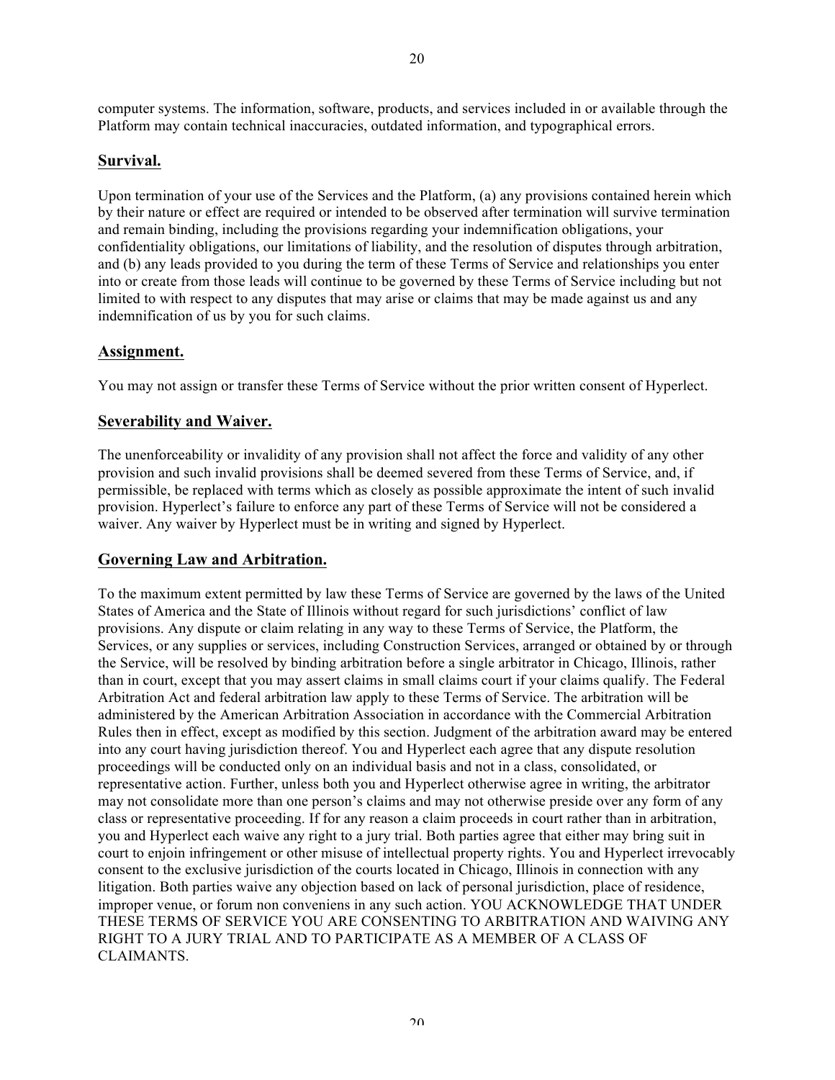# **Survival.**

Upon termination of your use of the Services and the Platform, (a) any provisions contained herein which by their nature or effect are required or intended to be observed after termination will survive termination and remain binding, including the provisions regarding your indemnification obligations, your confidentiality obligations, our limitations of liability, and the resolution of disputes through arbitration, and (b) any leads provided to you during the term of these Terms of Service and relationships you enter into or create from those leads will continue to be governed by these Terms of Service including but not limited to with respect to any disputes that may arise or claims that may be made against us and any indemnification of us by you for such claims.

# **Assignment.**

You may not assign or transfer these Terms of Service without the prior written consent of Hyperlect.

# **Severability and Waiver.**

The unenforceability or invalidity of any provision shall not affect the force and validity of any other provision and such invalid provisions shall be deemed severed from these Terms of Service, and, if permissible, be replaced with terms which as closely as possible approximate the intent of such invalid provision. Hyperlect's failure to enforce any part of these Terms of Service will not be considered a waiver. Any waiver by Hyperlect must be in writing and signed by Hyperlect.

# **Governing Law and Arbitration.**

To the maximum extent permitted by law these Terms of Service are governed by the laws of the United States of America and the State of Illinois without regard for such jurisdictions' conflict of law provisions. Any dispute or claim relating in any way to these Terms of Service, the Platform, the Services, or any supplies or services, including Construction Services, arranged or obtained by or through the Service, will be resolved by binding arbitration before a single arbitrator in Chicago, Illinois, rather than in court, except that you may assert claims in small claims court if your claims qualify. The Federal Arbitration Act and federal arbitration law apply to these Terms of Service. The arbitration will be administered by the American Arbitration Association in accordance with the Commercial Arbitration Rules then in effect, except as modified by this section. Judgment of the arbitration award may be entered into any court having jurisdiction thereof. You and Hyperlect each agree that any dispute resolution proceedings will be conducted only on an individual basis and not in a class, consolidated, or representative action. Further, unless both you and Hyperlect otherwise agree in writing, the arbitrator may not consolidate more than one person's claims and may not otherwise preside over any form of any class or representative proceeding. If for any reason a claim proceeds in court rather than in arbitration, you and Hyperlect each waive any right to a jury trial. Both parties agree that either may bring suit in court to enjoin infringement or other misuse of intellectual property rights. You and Hyperlect irrevocably consent to the exclusive jurisdiction of the courts located in Chicago, Illinois in connection with any litigation. Both parties waive any objection based on lack of personal jurisdiction, place of residence, improper venue, or forum non conveniens in any such action. YOU ACKNOWLEDGE THAT UNDER THESE TERMS OF SERVICE YOU ARE CONSENTING TO ARBITRATION AND WAIVING ANY RIGHT TO A JURY TRIAL AND TO PARTICIPATE AS A MEMBER OF A CLASS OF CLAIMANTS.